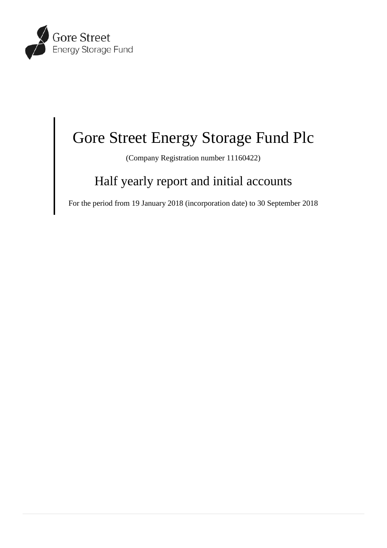

# Gore Street Energy Storage Fund Plc

(Company Registration number 11160422)

# Half yearly report and initial accounts

For the period from 19 January 2018 (incorporation date) to 30 September 2018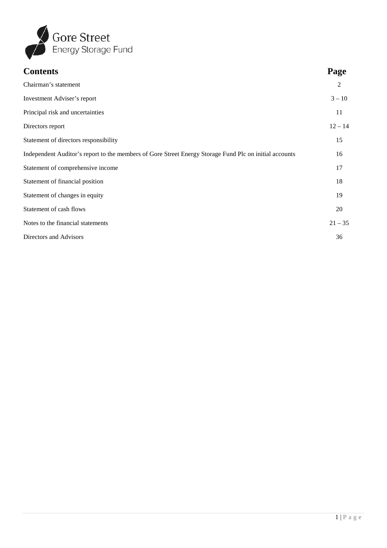

| <b>Contents</b>                                                                                        | Page           |
|--------------------------------------------------------------------------------------------------------|----------------|
| Chairman's statement                                                                                   | $\overline{2}$ |
| Investment Adviser's report                                                                            | $3 - 10$       |
| Principal risk and uncertainties                                                                       | 11             |
| Directors report                                                                                       | $12 - 14$      |
| Statement of directors responsibility                                                                  | 15             |
| Independent Auditor's report to the members of Gore Street Energy Storage Fund Plc on initial accounts | 16             |
| Statement of comprehensive income                                                                      | 17             |
| Statement of financial position                                                                        | 18             |
| Statement of changes in equity                                                                         | 19             |
| Statement of cash flows                                                                                | 20             |
| Notes to the financial statements                                                                      | $21 - 35$      |
| Directors and Advisors                                                                                 | 36             |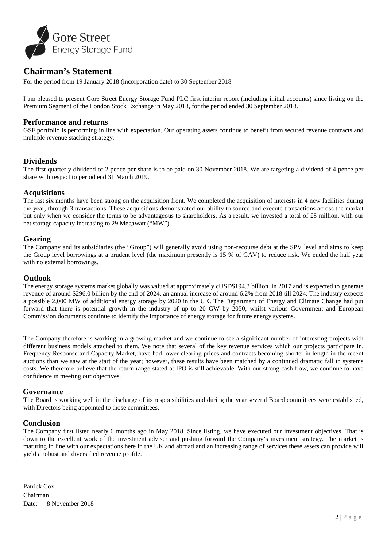

# **Chairman's Statement**

For the period from 19 January 2018 (incorporation date) to 30 September 2018

I am pleased to present Gore Street Energy Storage Fund PLC first interim report (including initial accounts) since listing on the Premium Segment of the London Stock Exchange in May 2018, for the period ended 30 September 2018.

# **Performance and returns**

GSF portfolio is performing in line with expectation. Our operating assets continue to benefit from secured revenue contracts and multiple revenue stacking strategy.

# **Dividends**

The first quarterly dividend of 2 pence per share is to be paid on 30 November 2018. We are targeting a dividend of 4 pence per share with respect to period end 31 March 2019.

# **Acquisitions**

The last six months have been strong on the acquisition front. We completed the acquisition of interests in 4 new facilities during the year, through 3 transactions. These acquisitions demonstrated our ability to source and execute transactions across the market but only when we consider the terms to be advantageous to shareholders. As a result, we invested a total of £8 million, with our net storage capacity increasing to 29 Megawatt ("MW").

# **Gearing**

The Company and its subsidiaries (the "Group") will generally avoid using non-recourse debt at the SPV level and aims to keep the Group level borrowings at a prudent level (the maximum presently is 15 % of GAV) to reduce risk. We ended the half year with no external borrowings.

# **Outlook**

The energy storage systems market globally was valued at approximately cUSD\$194.3 billion. in 2017 and is expected to generate revenue of around \$296.0 billion by the end of 2024, an annual increase of around 6.2% from 2018 till 2024. The industry expects a possible 2,000 MW of additional energy storage by 2020 in the UK. The Department of Energy and Climate Change had put forward that there is potential growth in the industry of up to 20 GW by 2050, whilst various Government and European Commission documents continue to identify the importance of energy storage for future energy systems.

The Company therefore is working in a growing market and we continue to see a significant number of interesting projects with different business models attached to them. We note that several of the key revenue services which our projects participate in, Frequency Response and Capacity Market, have had lower clearing prices and contracts becoming shorter in length in the recent auctions than we saw at the start of the year; however, these results have been matched by a continued dramatic fall in systems costs. We therefore believe that the return range stated at IPO is still achievable. With our strong cash flow, we continue to have confidence in meeting our objectives.

# **Governance**

The Board is working well in the discharge of its responsibilities and during the year several Board committees were established, with Directors being appointed to those committees.

# **Conclusion**

The Company first listed nearly 6 months ago in May 2018. Since listing, we have executed our investment objectives. That is down to the excellent work of the investment adviser and pushing forward the Company's investment strategy. The market is maturing in line with our expectations here in the UK and abroad and an increasing range of services these assets can provide will yield a robust and diversified revenue profile.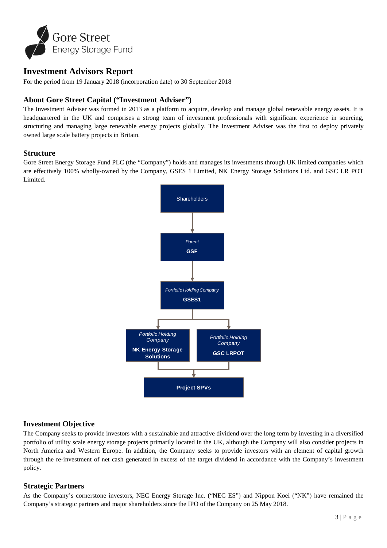

# **Investment Advisors Report**

For the period from 19 January 2018 (incorporation date) to 30 September 2018

# **About Gore Street Capital ("Investment Adviser")**

The Investment Adviser was formed in 2013 as a platform to acquire, develop and manage global renewable energy assets. It is headquartered in the UK and comprises a strong team of investment professionals with significant experience in sourcing, structuring and managing large renewable energy projects globally. The Investment Adviser was the first to deploy privately owned large scale battery projects in Britain.

# **Structure**

Gore Street Energy Storage Fund PLC (the "Company") holds and manages its investments through UK limited companies which are effectively 100% wholly-owned by the Company, GSES 1 Limited, NK Energy Storage Solutions Ltd. and GSC LR POT Limited.



# **Investment Objective**

The Company seeks to provide investors with a sustainable and attractive dividend over the long term by investing in a diversified portfolio of utility scale energy storage projects primarily located in the UK, although the Company will also consider projects in North America and Western Europe. In addition, the Company seeks to provide investors with an element of capital growth through the re-investment of net cash generated in excess of the target dividend in accordance with the Company's investment policy.

# **Strategic Partners**

As the Company's cornerstone investors, NEC Energy Storage Inc. ("NEC ES") and Nippon Koei ("NK") have remained the Company's strategic partners and major shareholders since the IPO of the Company on 25 May 2018.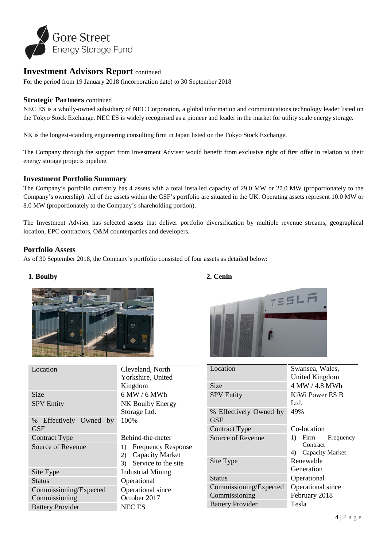

For the period from 19 January 2018 (incorporation date) to 30 September 2018

# **Strategic Partners** continued

NEC ES is a wholly-owned subsidiary of NEC Corporation, a global information and communications technology leader listed on the Tokyo Stock Exchange. NEC ES is widely recognised as a pioneer and leader in the market for utility scale energy storage.

NK is the longest-standing engineering consulting firm in Japan listed on the Tokyo Stock Exchange.

The Company through the support from Investment Adviser would benefit from exclusive right of first offer in relation to their energy storage projects pipeline.

# **Investment Portfolio Summary**

The Company's portfolio currently has 4 assets with a total installed capacity of 29.0 MW or 27.0 MW (proportionately to the Company's ownership). All of the assets within the GSF's portfolio are situated in the UK. Operating assets represent 10.0 MW or 8.0 MW (proportionately to the Company's shareholding portion).

The Investment Adviser has selected assets that deliver portfolio diversification by multiple revenue streams, geographical location, EPC contractors, O&M counterparties and developers.

# **Portfolio Assets**

As of 30 September 2018, the Company's portfolio consisted of four assets as detailed below:

# **1. Boulby**



| Location                             | Cleveland, North                |
|--------------------------------------|---------------------------------|
|                                      | Yorkshire, United               |
|                                      | Kingdom                         |
| Size                                 | 6 MW / 6 MWh                    |
| <b>SPV Entity</b>                    | NK Boulby Energy                |
|                                      | Storage Ltd.                    |
| % Effectively Owned by<br><b>GSF</b> | 100%                            |
| Contract Type                        | Behind-the-meter                |
| Source of Revenue                    | <b>Frequency Response</b><br>1) |
|                                      | <b>Capacity Market</b><br>2)    |
|                                      | Service to the site<br>3)       |
| Site Type                            | <b>Industrial Mining</b>        |
| Status                               | Operational                     |
| Commissioning/Expected               | Operational since               |
| Commissioning                        | October 2017                    |
| <b>Battery Provider</b>              | NEC ES                          |
|                                      |                                 |

# **2. Cenin**



| Location                      | Swansea, Wales,                                              |  |  |
|-------------------------------|--------------------------------------------------------------|--|--|
|                               | <b>United Kingdom</b>                                        |  |  |
| Size                          | 4 MW / 4.8 MWh                                               |  |  |
| <b>SPV Entity</b>             | KiWi Power ES B                                              |  |  |
|                               | Ltd.                                                         |  |  |
| % Effectively Owned by<br>GSF | 49%                                                          |  |  |
| Contract Type                 | Co-location                                                  |  |  |
| Source of Revenue             | 1)<br>Frequency<br>Firm<br>Contract<br>Capacity Market<br>4) |  |  |
| Site Type                     | Renewable                                                    |  |  |
|                               | Generation                                                   |  |  |
| <b>Status</b>                 | Operational                                                  |  |  |
| Commissioning/Expected        | Operational since                                            |  |  |
| Commissioning                 | February 2018                                                |  |  |
| <b>Battery Provider</b>       | Tesla                                                        |  |  |
|                               |                                                              |  |  |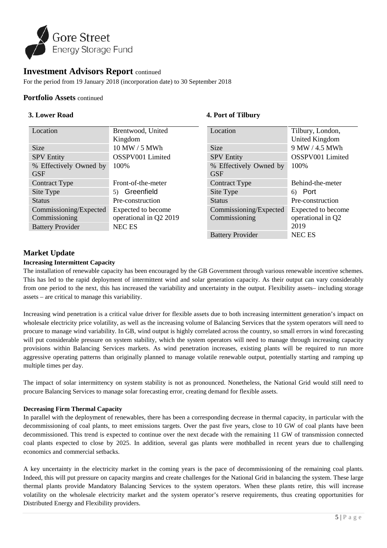

For the period from 19 January 2018 (incorporation date) to 30 September 2018

# **Portfolio Assets** continued

# **3. Lower Road**

#### Location Brentwood, United Kingdom Size 10 MW / 5 MWh SPV Entity **OSSPV001** Limited % Effectively Owned by **GSF** 100% Contract Type Front-of-the-meter Site Type 5) Greenfield Status Pre-construction Commissioning/Expected Commissioning Expected to become operational in Q2 2019 Battery Provider NEC ES Location Tilbury, London, United Kingdom Size 9 MW / 4.5 MWh SPV Entity **OSSPV001** Limited % Effectively Owned by **GSF** 100% Contract Type Behind-the-meter Site Type 6) Port Status Pre-construction Commissioning/Expected Commissioning Expected to become operational in Q2 2019 Battery Provider NEC ES

**4. Port of Tilbury**

# **Market Update**

# **Increasing Intermittent Capacity**

The installation of renewable capacity has been encouraged by the GB Government through various renewable incentive schemes. This has led to the rapid deployment of intermittent wind and solar generation capacity. As their output can vary considerably from one period to the next, this has increased the variability and uncertainty in the output. Flexibility assets– including storage assets – are critical to manage this variability.

Increasing wind penetration is a critical value driver for flexible assets due to both increasing intermittent generation's impact on wholesale electricity price volatility, as well as the increasing volume of Balancing Services that the system operators will need to procure to manage wind variability. In GB, wind output is highly correlated across the country, so small errors in wind forecasting will put considerable pressure on system stability, which the system operators will need to manage through increasing capacity provisions within Balancing Services markets. As wind penetration increases, existing plants will be required to run more aggressive operating patterns than originally planned to manage volatile renewable output, potentially starting and ramping up multiple times per day.

The impact of solar intermittency on system stability is not as pronounced. Nonetheless, the National Grid would still need to procure Balancing Services to manage solar forecasting error, creating demand for flexible assets.

#### **Decreasing Firm Thermal Capacity**

In parallel with the deployment of renewables, there has been a corresponding decrease in thermal capacity, in particular with the decommissioning of coal plants, to meet emissions targets. Over the past five years, close to 10 GW of coal plants have been decommissioned. This trend is expected to continue over the next decade with the remaining 11 GW of transmission connected coal plants expected to close by 2025. In addition, several gas plants were mothballed in recent years due to challenging economics and commercial setbacks.

A key uncertainty in the electricity market in the coming years is the pace of decommissioning of the remaining coal plants. Indeed, this will put pressure on capacity margins and create challenges for the National Grid in balancing the system. These large thermal plants provide Mandatory Balancing Services to the system operators. When these plants retire, this will increase volatility on the wholesale electricity market and the system operator's reserve requirements, thus creating opportunities for Distributed Energy and Flexibility providers.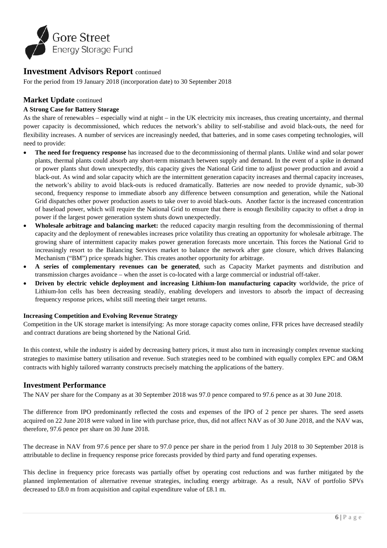

For the period from 19 January 2018 (incorporation date) to 30 September 2018

# **Market Update** continued

# **A Strong Case for Battery Storage**

As the share of renewables – especially wind at night – in the UK electricity mix increases, thus creating uncertainty, and thermal power capacity is decommissioned, which reduces the network's ability to self-stabilise and avoid black-outs, the need for flexibility increases. A number of services are increasingly needed, that batteries, and in some cases competing technologies, will need to provide:

- **The need for frequency response** has increased due to the decommissioning of thermal plants. Unlike wind and solar power plants, thermal plants could absorb any short-term mismatch between supply and demand. In the event of a spike in demand or power plants shut down unexpectedly, this capacity gives the National Grid time to adjust power production and avoid a black-out. As wind and solar capacity which are the intermittent generation capacity increases and thermal capacity increases, the network's ability to avoid black-outs is reduced dramatically. Batteries are now needed to provide dynamic, sub-30 second, frequency response to immediate absorb any difference between consumption and generation, while the National Grid dispatches other power production assets to take over to avoid black-outs. Another factor is the increased concentration of baseload power, which will require the National Grid to ensure that there is enough flexibility capacity to offset a drop in power if the largest power generation system shuts down unexpectedly.
- **Wholesale arbitrage and balancing market:** the reduced capacity margin resulting from the decommissioning of thermal capacity and the deployment of renewables increases price volatility thus creating an opportunity for wholesale arbitrage. The growing share of intermittent capacity makes power generation forecasts more uncertain. This forces the National Grid to increasingly resort to the Balancing Services market to balance the network after gate closure, which drives Balancing Mechanism ("BM") price spreads higher. This creates another opportunity for arbitrage.
- **A series of complementary revenues can be generated**, such as Capacity Market payments and distribution and transmission charges avoidance – when the asset is co-located with a large commercial or industrial off-taker.
- **Driven by electric vehicle deployment and increasing Lithium-Ion manufacturing capacity** worldwide, the price of Lithium-Ion cells has been decreasing steadily, enabling developers and investors to absorb the impact of decreasing frequency response prices, whilst still meeting their target returns.

#### **Increasing Competition and Evolving Revenue Strategy**

Competition in the UK storage market is intensifying: As more storage capacity comes online, FFR prices have decreased steadily and contract durations are being shortened by the National Grid.

In this context, while the industry is aided by decreasing battery prices, it must also turn in increasingly complex revenue stacking strategies to maximise battery utilisation and revenue. Such strategies need to be combined with equally complex EPC and O&M contracts with highly tailored warranty constructs precisely matching the applications of the battery.

# **Investment Performance**

The NAV per share for the Company as at 30 September 2018 was 97.0 pence compared to 97.6 pence as at 30 June 2018.

The difference from IPO predominantly reflected the costs and expenses of the IPO of 2 pence per shares. The seed assets acquired on 22 June 2018 were valued in line with purchase price, thus, did not affect NAV as of 30 June 2018, and the NAV was, therefore, 97.6 pence per share on 30 June 2018.

The decrease in NAV from 97.6 pence per share to 97.0 pence per share in the period from 1 July 2018 to 30 September 2018 is attributable to decline in frequency response price forecasts provided by third party and fund operating expenses.

This decline in frequency price forecasts was partially offset by operating cost reductions and was further mitigated by the planned implementation of alternative revenue strategies, including energy arbitrage. As a result, NAV of portfolio SPVs decreased to £8.0 m from acquisition and capital expenditure value of £8.1 m.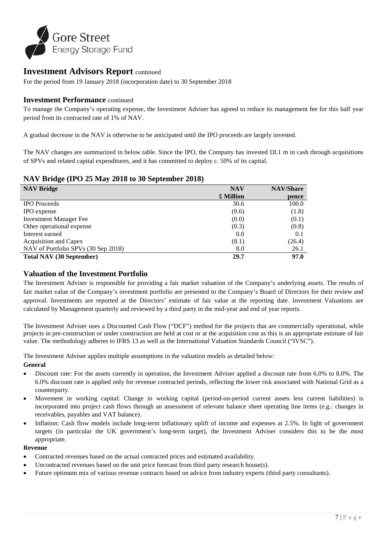

For the period from 19 January 2018 (incorporation date) to 30 September 2018

# **Investment Performance** continued

To manage the Company's operating expense, the Investment Adviser has agreed to reduce its management fee for this half year period from its contracted rate of 1% of NAV.

A gradual decrease in the NAV is otherwise to be anticipated until the IPO proceeds are largely invested.

The NAV changes are summarized in below table. Since the IPO, the Company has invested £8.1 m in cash through acquisitions of SPVs and related capital expenditures, and it has committed to deploy c. 50% of its capital.

# **NAV Bridge (IPO 25 May 2018 to 30 September 2018)**

| <b>NAV Bridge</b>                   | <b>NAV</b> | <b>NAV/Share</b> |
|-------------------------------------|------------|------------------|
|                                     | £ Million  | pence            |
| <b>IPO</b> Proceeds                 | 30.6       | 100.0            |
| <b>IPO</b> expense                  | (0.6)      | (1.8)            |
| <b>Investment Manager Fee</b>       | (0.0)      | (0.1)            |
| Other operational expense           | (0.3)      | (0.8)            |
| Interest earned                     | 0.0        | 0.1              |
| <b>Acquisition and Capex</b>        | (8.1)      | (26.4)           |
| NAV of Portfolio SPVs (30 Sep 2018) | 8.0        | 26.1             |
| <b>Total NAV (30 September)</b>     | 29.7       | 97.0             |

# **Valuation of the Investment Portfolio**

The Investment Adviser is responsible for providing a fair market valuation of the Company's underlying assets. The results of fair market value of the Company's investment portfolio are presented to the Company's Board of Directors for their review and approval. Investments are reported at the Directors' estimate of fair value at the reporting date. Investment Valuations are calculated by Management quarterly and reviewed by a third party in the mid-year and end of year reports.

The Investment Adviser uses a Discounted Cash Flow ("DCF") method for the projects that are commercially operational, while projects in pre-construction or under construction are held at cost or at the acquisition cost as this is an appropriate estimate of fair value. The methodology adheres to IFRS 13 as well as the International Valuation Standards Council ("IVSC").

The Investment Adviser applies multiple assumptions in the valuation models as detailed below:

#### **General**

- Discount rate: For the assets currently in operation, the Investment Adviser applied a discount rate from 6.0% to 8.0%. The 6.0% discount rate is applied only for revenue contracted periods, reflecting the lower risk associated with National Grid as a counterparty.
- Movement in working capital: Change in working capital (period-on-period current assets less current liabilities) is incorporated into project cash flows through an assessment of relevant balance sheet operating line items (e.g.: changes in receivables, payables and VAT balance).
- Inflation: Cash flow models include long-term inflationary uplift of income and expenses at 2.5%. In light of government targets (in particular the UK government's long-term target), the Investment Adviser considers this to be the most appropriate.

#### **Revenue**

- Contracted revenues based on the actual contracted prices and estimated availability.
- Uncontracted revenues based on the unit price forecast from third party research house(s).
- Future optimum mix of various revenue contracts based on advice from industry experts (third party consultants).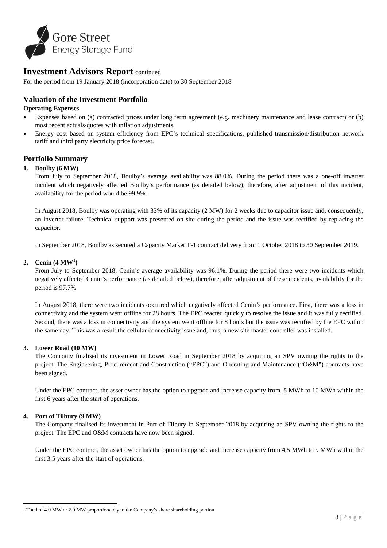

For the period from 19 January 2018 (incorporation date) to 30 September 2018

# **Valuation of the Investment Portfolio**

### **Operating Expenses**

- Expenses based on (a) contracted prices under long term agreement (e.g. machinery maintenance and lease contract) or (b) most recent actuals/quotes with inflation adjustments.
- Energy cost based on system efficiency from EPC's technical specifications, published transmission/distribution network tariff and third party electricity price forecast.

# **Portfolio Summary**

#### **1. Boulby (6 MW)**

From July to September 2018, Boulby's average availability was 88.0%. During the period there was a one-off inverter incident which negatively affected Boulby's performance (as detailed below), therefore, after adjustment of this incident, availability for the period would be 99.9%.

In August 2018, Boulby was operating with 33% of its capacity (2 MW) for 2 weeks due to capacitor issue and, consequently, an inverter failure. Technical support was presented on site during the period and the issue was rectified by replacing the capacitor.

In September 2018, Boulby as secured a Capacity Market T-1 contract delivery from 1 October 2018 to 30 September 2019.

# **2. Cenin (4 MW[1](#page-8-0) )**

From July to September 2018, Cenin's average availability was 96.1%. During the period there were two incidents which negatively affected Cenin's performance (as detailed below), therefore, after adjustment of these incidents, availability for the period is 97.7%

In August 2018, there were two incidents occurred which negatively affected Cenin's performance. First, there was a loss in connectivity and the system went offline for 28 hours. The EPC reacted quickly to resolve the issue and it was fully rectified. Second, there was a loss in connectivity and the system went offline for 8 hours but the issue was rectified by the EPC within the same day. This was a result the cellular connectivity issue and, thus, a new site master controller was installed.

#### **3. Lower Road (10 MW)**

The Company finalised its investment in Lower Road in September 2018 by acquiring an SPV owning the rights to the project. The Engineering, Procurement and Construction ("EPC") and Operating and Maintenance ("O&M") contracts have been signed.

Under the EPC contract, the asset owner has the option to upgrade and increase capacity from. 5 MWh to 10 MWh within the first 6 years after the start of operations.

#### **4. Port of Tilbury (9 MW)**

**.** 

The Company finalised its investment in Port of Tilbury in September 2018 by acquiring an SPV owning the rights to the project. The EPC and O&M contracts have now been signed.

Under the EPC contract, the asset owner has the option to upgrade and increase capacity from 4.5 MWh to 9 MWh within the first 3.5 years after the start of operations.

<span id="page-8-0"></span> $1$  Total of 4.0 MW or 2.0 MW proportionately to the Company's share shareholding portion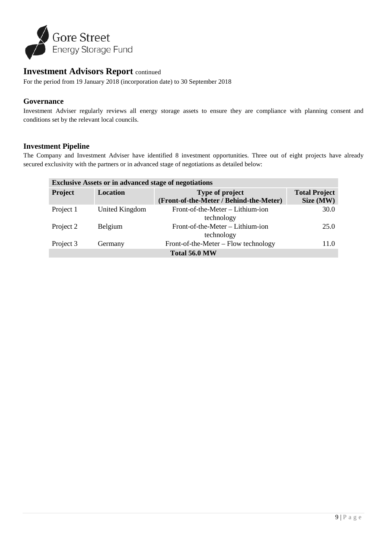

For the period from 19 January 2018 (incorporation date) to 30 September 2018

# **Governance**

Investment Adviser regularly reviews all energy storage assets to ensure they are compliance with planning consent and conditions set by the relevant local councils.

# **Investment Pipeline**

The Company and Investment Adviser have identified 8 investment opportunities. Three out of eight projects have already secured exclusivity with the partners or in advanced stage of negotiations as detailed below:

| <b>Exclusive Assets or in advanced stage of negotiations</b> |                 |                                                            |                                   |  |  |
|--------------------------------------------------------------|-----------------|------------------------------------------------------------|-----------------------------------|--|--|
| <b>Project</b>                                               | <b>Location</b> | Type of project<br>(Front-of-the-Meter / Behind-the-Meter) | <b>Total Project</b><br>Size (MW) |  |  |
| Project 1                                                    | United Kingdom  | Front-of-the-Meter – Lithium-ion<br>technology             | 30.0                              |  |  |
| Project 2                                                    | Belgium         | Front-of-the-Meter - Lithium-ion<br>technology             | 25.0                              |  |  |
| Project 3                                                    | Germany         | Front-of-the-Meter – Flow technology                       | 11.0                              |  |  |
| Total 56.0 MW                                                |                 |                                                            |                                   |  |  |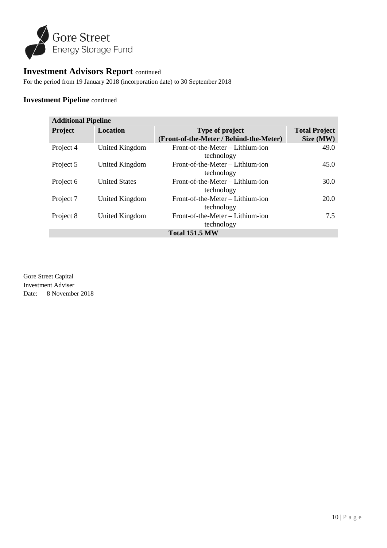

For the period from 19 January 2018 (incorporation date) to 30 September 2018

# **Investment Pipeline** continued

| <b>Additional Pipeline</b> |                      |                                                            |                                   |  |
|----------------------------|----------------------|------------------------------------------------------------|-----------------------------------|--|
| Project                    | <b>Location</b>      | Type of project<br>(Front-of-the-Meter / Behind-the-Meter) | <b>Total Project</b><br>Size (MW) |  |
| Project 4                  | United Kingdom       | Front-of-the-Meter - Lithium-ion<br>technology             | 49.0                              |  |
| Project 5                  | United Kingdom       | Front-of-the-Meter – Lithium-ion<br>technology             | 45.0                              |  |
| Project 6                  | <b>United States</b> | Front-of-the-Meter – Lithium-ion<br>technology             | 30.0                              |  |
| Project 7                  | United Kingdom       | Front-of-the-Meter - Lithium-ion<br>technology             | 20.0                              |  |
| Project 8                  | United Kingdom       | Front-of-the-Meter – Lithium-ion<br>technology             | 7.5                               |  |
| <b>Total 151.5 MW</b>      |                      |                                                            |                                   |  |

Gore Street Capital Investment Adviser Date: 8 November 2018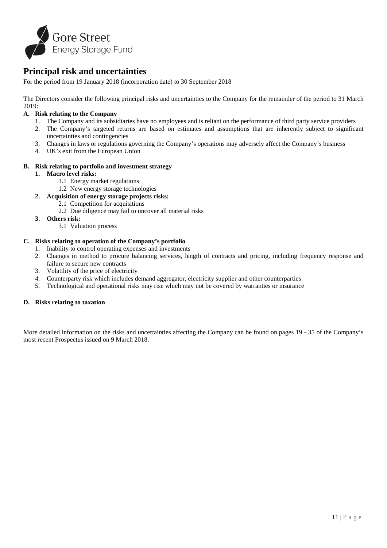

# **Principal risk and uncertainties**

For the period from 19 January 2018 (incorporation date) to 30 September 2018

The Directors consider the following principal risks and uncertainties to the Company for the remainder of the period to 31 March 2019:

### **A. Risk relating to the Company**

- 1. The Company and its subsidiaries have no employees and is reliant on the performance of third party service providers
- 2. The Company's targeted returns are based on estimates and assumptions that are inherently subject to significant uncertainties and contingencies
- 3. Changes in laws or regulations governing the Company's operations may adversely affect the Company's business
- 4. UK's exit from the European Union

#### **B. Risk relating to portfolio and investment strategy**

#### **1. Macro level risks:**

- 1.1 Energy market regulations
- 1.2 New energy storage technologies
- **2. Acquisition of energy storage projects risks:**
	- 2.1 Competition for acquisitions
		- 2.2 Due diligence may fail to uncover all material risks
- **3. Others risk:**
	- 3.1 Valuation process

#### **C. Risks relating to operation of the Company's portfolio**

- 1. Inability to control operating expenses and investments
- 2. Changes in method to procure balancing services, length of contracts and pricing, including frequency response and failure to secure new contracts
- 3. Volatility of the price of electricity
- 4. Counterparty risk which includes demand aggregator, electricity supplier and other counterparties
- 5. Technological and operational risks may rise which may not be covered by warranties or insurance

# **D. Risks relating to taxation**

More detailed information on the risks and uncertainties affecting the Company can be found on pages 19 - 35 of the Company's most recent Prospectus issued on 9 March 2018.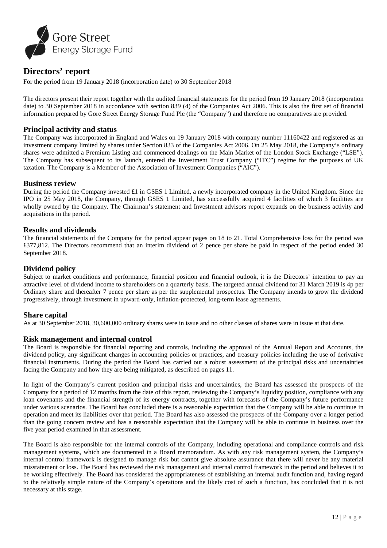

# **Directors' report**

For the period from 19 January 2018 (incorporation date) to 30 September 2018

The directors present their report together with the audited financial statements for the period from 19 January 2018 (incorporation date) to 30 September 2018 in accordance with section 839 (4) of the Companies Act 2006. This is also the first set of financial information prepared by Gore Street Energy Storage Fund Plc (the "Company") and therefore no comparatives are provided.

# **Principal activity and status**

The Company was incorporated in England and Wales on 19 January 2018 with company number 11160422 and registered as an investment company limited by shares under Section 833 of the Companies Act 2006. On 25 May 2018, the Company's ordinary shares were admitted a Premium Listing and commenced dealings on the Main Market of the London Stock Exchange ("LSE"). The Company has subsequent to its launch, entered the Investment Trust Company ("ITC") regime for the purposes of UK taxation. The Company is a Member of the Association of Investment Companies ("AIC").

# **Business review**

During the period the Company invested £1 in GSES 1 Limited, a newly incorporated company in the United Kingdom. Since the IPO in 25 May 2018, the Company, through GSES 1 Limited, has successfully acquired 4 facilities of which 3 facilities are wholly owned by the Company. The Chairman's statement and Investment advisors report expands on the business activity and acquisitions in the period.

#### **Results and dividends**

The financial statements of the Company for the period appear pages on 18 to 21. Total Comprehensive loss for the period was £377,812. The Directors recommend that an interim dividend of 2 pence per share be paid in respect of the period ended 30 September 2018.

# **Dividend policy**

Subject to market conditions and performance, financial position and financial outlook, it is the Directors' intention to pay an attractive level of dividend income to shareholders on a quarterly basis. The targeted annual dividend for 31 March 2019 is 4p per Ordinary share and thereafter 7 pence per share as per the supplemental prospectus. The Company intends to grow the dividend progressively, through investment in upward-only, inflation-protected, long-term lease agreements.

# **Share capital**

As at 30 September 2018, 30,600,000 ordinary shares were in issue and no other classes of shares were in issue at that date.

# **Risk management and internal control**

The Board is responsible for financial reporting and controls, including the approval of the Annual Report and Accounts, the dividend policy, any significant changes in accounting policies or practices, and treasury policies including the use of derivative financial instruments. During the period the Board has carried out a robust assessment of the principal risks and uncertainties facing the Company and how they are being mitigated, as described on pages 11.

In light of the Company's current position and principal risks and uncertainties, the Board has assessed the prospects of the Company for a period of 12 months from the date of this report, reviewing the Company's liquidity position, compliance with any loan covenants and the financial strength of its energy contracts, together with forecasts of the Company's future performance under various scenarios. The Board has concluded there is a reasonable expectation that the Company will be able to continue in operation and meet its liabilities over that period. The Board has also assessed the prospects of the Company over a longer period than the going concern review and has a reasonable expectation that the Company will be able to continue in business over the five year period examined in that assessment.

The Board is also responsible for the internal controls of the Company, including operational and compliance controls and risk management systems, which are documented in a Board memorandum. As with any risk management system, the Company's internal control framework is designed to manage risk but cannot give absolute assurance that there will never be any material misstatement or loss. The Board has reviewed the risk management and internal control framework in the period and believes it to be working effectively. The Board has considered the appropriateness of establishing an internal audit function and, having regard to the relatively simple nature of the Company's operations and the likely cost of such a function, has concluded that it is not necessary at this stage.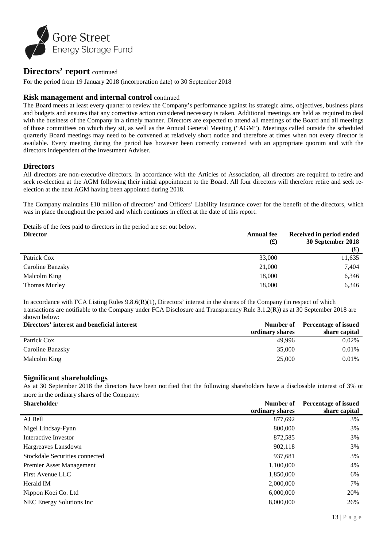

# **Directors' report** continued

For the period from 19 January 2018 (incorporation date) to 30 September 2018

# **Risk management and internal control** continued

The Board meets at least every quarter to review the Company's performance against its strategic aims, objectives, business plans and budgets and ensures that any corrective action considered necessary is taken. Additional meetings are held as required to deal with the business of the Company in a timely manner. Directors are expected to attend all meetings of the Board and all meetings of those committees on which they sit, as well as the Annual General Meeting ("AGM"). Meetings called outside the scheduled quarterly Board meetings may need to be convened at relatively short notice and therefore at times when not every director is available. Every meeting during the period has however been correctly convened with an appropriate quorum and with the directors independent of the Investment Adviser.

# **Directors**

All directors are non-executive directors. In accordance with the Articles of Association, all directors are required to retire and seek re-election at the AGM following their initial appointment to the Board. All four directors will therefore retire and seek reelection at the next AGM having been appointed during 2018.

The Company maintains £10 million of directors' and Officers' Liability Insurance cover for the benefit of the directors, which was in place throughout the period and which continues in effect at the date of this report.

Details of the fees paid to directors in the period are set out below.

| <b>Director</b>  | <b>Annual fee</b><br>$\mathbf f(x)$ | Received in period ended<br>30 September 2018 |
|------------------|-------------------------------------|-----------------------------------------------|
|                  |                                     | $\mathbf f(x)$                                |
| Patrick Cox      | 33,000                              | 11,635                                        |
| Caroline Banzsky | 21,000                              | 7,404                                         |
| Malcolm King     | 18,000                              | 6,346                                         |
| Thomas Murley    | 18,000                              | 6,346                                         |

In accordance with FCA Listing Rules 9.8.6(R)(1), Directors' interest in the shares of the Company (in respect of which transactions are notifiable to the Company under FCA Disclosure and Transparency Rule 3.1.2(R)) as at 30 September 2018 are shown below:

| Directors' interest and beneficial interest |                 | Number of Percentage of issued |  |
|---------------------------------------------|-----------------|--------------------------------|--|
|                                             | ordinary shares | share capital                  |  |
| Patrick Cox                                 | 49.996          | 0.02%                          |  |
| Caroline Banzsky                            | 35,000          | 0.01%                          |  |
| Malcolm King                                | 25,000          | $0.01\%$                       |  |

# **Significant shareholdings**

As at 30 September 2018 the directors have been notified that the following shareholders have a disclosable interest of 3% or more in the ordinary shares of the Company:<br>Shareholder **Number of Dependence of issued** 

| <b>Shareholder</b>             | Number of       | <b>Percentage of issued</b> |  |
|--------------------------------|-----------------|-----------------------------|--|
|                                | ordinary shares | share capital               |  |
| AJ Bell                        | 877,692         | 3%                          |  |
| Nigel Lindsay-Fynn             | 800,000         | 3%                          |  |
| Interactive Investor           | 872,585         | 3%                          |  |
| Hargreaves Lansdown            | 902,118         | 3%                          |  |
| Stockdale Securities connected | 937,681         | 3%                          |  |
| Premier Asset Management       | 1,100,000       | 4%                          |  |
| First Avenue LLC               | 1,850,000       | 6%                          |  |
| Herald IM                      | 2,000,000       | 7%                          |  |
| Nippon Koei Co. Ltd            | 6,000,000       | 20%                         |  |
| NEC Energy Solutions Inc       | 8,000,000       | 26%                         |  |
|                                |                 |                             |  |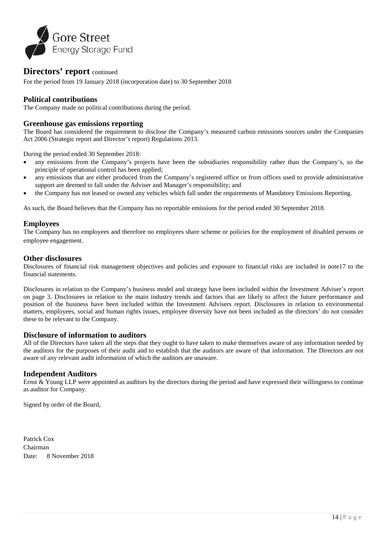

# **Directors' report** continued

For the period from 19 January 2018 (incorporation date) to 30 September 2018

# **Political contributions**

The Company made no political contributions during the period.

### **Greenhouse gas emissions reporting**

The Board has considered the requirement to disclose the Company's measured carbon emissions sources under the Companies Act 2006 (Strategic report and Director's report) Regulations 2013.

During the period ended 30 September 2018:

- any emissions from the Company's projects have been the subsidiaries responsibility rather than the Company's, so the principle of operational control has been applied;
- any emissions that are either produced from the Company's registered office or from offices used to provide administrative support are deemed to fall under the Adviser and Manager's responsibility; and
- the Company has not leased or owned any vehicles which fall under the requirements of Mandatory Emissions Reporting.

As such, the Board believes that the Company has no reportable emissions for the period ended 30 September 2018.

# **Employees**

The Company has no employees and therefore no employees share scheme or policies for the employment of disabled persons or employee engagement.

# **Other disclosures**

Disclosures of financial risk management objectives and policies and exposure to financial risks are included in note17 to the financial statements.

Disclosures in relation to the Company's business model and strategy have been included within the Investment Adviser's report on page 3. Disclosures in relation to the main industry trends and factors that are likely to affect the future performance and position of the business have been included within the Investment Advisers report. Disclosures in relation to environmental matters, employees, social and human rights issues, employee diversity have not been included as the directors' do not consider these to be relevant to the Company.

# **Disclosure of information to auditors**

All of the Directors have taken all the steps that they ought to have taken to make themselves aware of any information needed by the auditors for the purposes of their audit and to establish that the auditors are aware of that information. The Directors are not aware of any relevant audit information of which the auditors are unaware.

# **Independent Auditors**

Ernst & Young LLP were appointed as auditors by the directors during the period and have expressed their willingness to continue as auditor for Company.

Signed by order of the Board,

Patrick Cox Chairman Date: 8 November 2018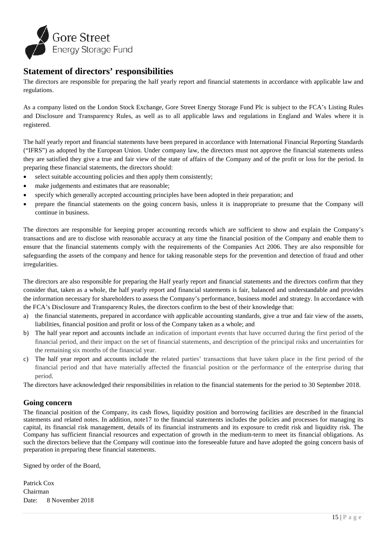

# **Statement of directors' responsibilities**

The directors are responsible for preparing the half yearly report and financial statements in accordance with applicable law and regulations.

As a company listed on the London Stock Exchange, Gore Street Energy Storage Fund Plc is subject to the FCA's Listing Rules and Disclosure and Transparency Rules, as well as to all applicable laws and regulations in England and Wales where it is registered.

The half yearly report and financial statements have been prepared in accordance with International Financial Reporting Standards ("IFRS") as adopted by the European Union. Under company law, the directors must not approve the financial statements unless they are satisfied they give a true and fair view of the state of affairs of the Company and of the profit or loss for the period. In preparing these financial statements, the directors should:

- select suitable accounting policies and then apply them consistently;
- make judgements and estimates that are reasonable;
- specify which generally accepted accounting principles have been adopted in their preparation; and
- prepare the financial statements on the going concern basis, unless it is inappropriate to presume that the Company will continue in business.

The directors are responsible for keeping proper accounting records which are sufficient to show and explain the Company's transactions and are to disclose with reasonable accuracy at any time the financial position of the Company and enable them to ensure that the financial statements comply with the requirements of the Companies Act 2006. They are also responsible for safeguarding the assets of the company and hence for taking reasonable steps for the prevention and detection of fraud and other irregularities.

The directors are also responsible for preparing the Half yearly report and financial statements and the directors confirm that they consider that, taken as a whole, the half yearly report and financial statements is fair, balanced and understandable and provides the information necessary for shareholders to assess the Company's performance, business model and strategy. In accordance with the FCA's Disclosure and Transparency Rules, the directors confirm to the best of their knowledge that:

- a) the financial statements, prepared in accordance with applicable accounting standards, give a true and fair view of the assets, liabilities, financial position and profit or loss of the Company taken as a whole; and
- b) The half year report and accounts include an indication of important events that have occurred during the first period of the financial period, and their impact on the set of financial statements, and description of the principal risks and uncertainties for the remaining six months of the financial year.
- c) The half year report and accounts include the related parties' transactions that have taken place in the first period of the financial period and that have materially affected the financial position or the performance of the enterprise during that period.

The directors have acknowledged their responsibilities in relation to the financial statements for the period to 30 September 2018.

# **Going concern**

The financial position of the Company, its cash flows, liquidity position and borrowing facilities are described in the financial statements and related notes. In addition, note17 to the financial statements includes the policies and processes for managing its capital, its financial risk management, details of its financial instruments and its exposure to credit risk and liquidity risk. The Company has sufficient financial resources and expectation of growth in the medium-term to meet its financial obligations. As such the directors believe that the Company will continue into the foreseeable future and have adopted the going concern basis of preparation in preparing these financial statements.

Signed by order of the Board,

Patrick Cox Chairman Date: 8 November 2018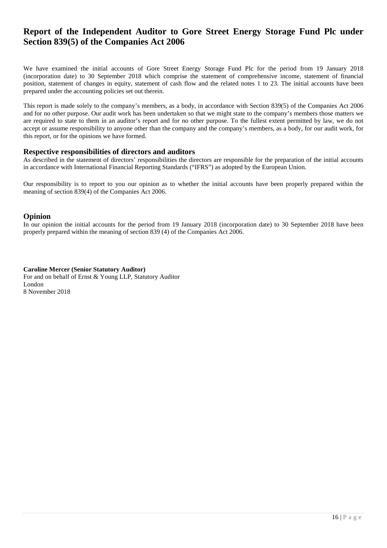# **Report of the Independent Auditor to Gore Street Energy Storage Fund Plc under Section 839(5) of the Companies Act 2006**

We have examined the initial accounts of Gore Street Energy Storage Fund Plc for the period from 19 January 2018 (incorporation date) to 30 September 2018 which comprise the statement of comprehensive income, statement of financial position, statement of changes in equity, statement of cash flow and the related notes 1 to 23. The initial accounts have been prepared under the accounting policies set out therein.

This report is made solely to the company's members, as a body, in accordance with Section 839(5) of the Companies Act 2006 and for no other purpose. Our audit work has been undertaken so that we might state to the company's members those matters we are required to state to them in an auditor's report and for no other purpose. To the fullest extent permitted by law, we do not accept or assume responsibility to anyone other than the company and the company's members, as a body, for our audit work, for this report, or for the opinions we have formed.

#### **Respective responsibilities of directors and auditors**

As described in the statement of directors' responsibilities the directors are responsible for the preparation of the initial accounts in accordance with International Financial Reporting Standards ("IFRS") as adopted by the European Union.

Our responsibility is to report to you our opinion as to whether the initial accounts have been properly prepared within the meaning of section 839(4) of the Companies Act 2006.

# **Opinion**

In our opinion the initial accounts for the period from 19 January 2018 (incorporation date) to 30 September 2018 have been properly prepared within the meaning of section 839 (4) of the Companies Act 2006.

**Caroline Mercer (Senior Statutory Auditor)** For and on behalf of Ernst & Young LLP, Statutory Auditor London 8 November 2018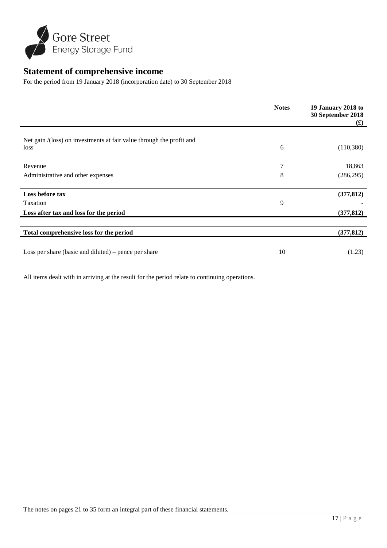

# **Statement of comprehensive income**

For the period from 19 January 2018 (incorporation date) to 30 September 2018

|                                                                      | <b>Notes</b> | 19 January 2018 to<br>30 September 2018<br>$\mathbf{f}(\mathbf{f})$ |
|----------------------------------------------------------------------|--------------|---------------------------------------------------------------------|
|                                                                      |              |                                                                     |
| Net gain /(loss) on investments at fair value through the profit and |              |                                                                     |
| loss                                                                 | 6            | (110,380)                                                           |
| Revenue                                                              | 7            | 18,863                                                              |
|                                                                      |              |                                                                     |
| Administrative and other expenses                                    | 8            | (286, 295)                                                          |
| Loss before tax                                                      |              | (377, 812)                                                          |
| Taxation                                                             | 9            |                                                                     |
| Loss after tax and loss for the period                               |              | (377, 812)                                                          |
|                                                                      |              |                                                                     |
| Total comprehensive loss for the period                              |              | (377, 812)                                                          |
|                                                                      |              |                                                                     |
| Loss per share (basic and diluted) – pence per share                 | 10           | (1.23)                                                              |

All items dealt with in arriving at the result for the period relate to continuing operations.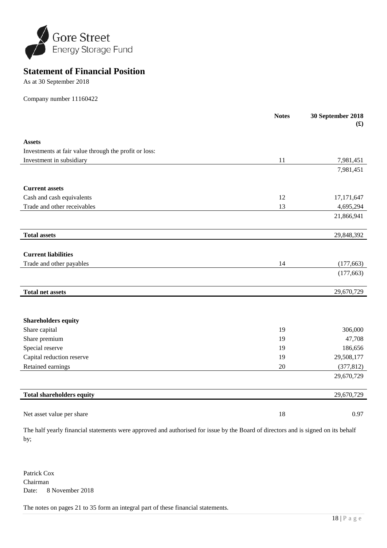

# **Statement of Financial Position**

As at 30 September 2018

Company number 11160422

|                                                       | <b>Notes</b> | 30 September 2018<br>f(x) |
|-------------------------------------------------------|--------------|---------------------------|
| <b>Assets</b>                                         |              |                           |
| Investments at fair value through the profit or loss: |              |                           |
| Investment in subsidiary                              | 11           | 7,981,451                 |
|                                                       |              | 7,981,451                 |
| <b>Current assets</b>                                 |              |                           |
| Cash and cash equivalents                             | 12           | 17,171,647                |
| Trade and other receivables                           | 13           | 4,695,294                 |
|                                                       |              | 21,866,941                |
| <b>Total assets</b>                                   |              | 29,848,392                |
|                                                       |              |                           |
| <b>Current liabilities</b>                            |              |                           |
| Trade and other payables                              | 14           | (177, 663)                |
|                                                       |              | (177, 663)                |
| <b>Total net assets</b>                               |              | 29,670,729                |
|                                                       |              |                           |
| <b>Shareholders equity</b>                            |              |                           |
| Share capital                                         | 19           | 306,000                   |
| Share premium                                         | 19           | 47,708                    |
| Special reserve                                       | 19           | 186,656                   |
| Capital reduction reserve                             | 19           | 29,508,177                |
| Retained earnings                                     | 20           | (377, 812)                |
|                                                       |              | 29,670,729                |
| <b>Total shareholders equity</b>                      |              | 29,670,729                |
| Net asset value per share                             | 18           | 0.97                      |

The half yearly financial statements were approved and authorised for issue by the Board of directors and is signed on its behalf by;

Patrick Cox Chairman Date: 8 November 2018

The notes on pages 21 to 35 form an integral part of these financial statements.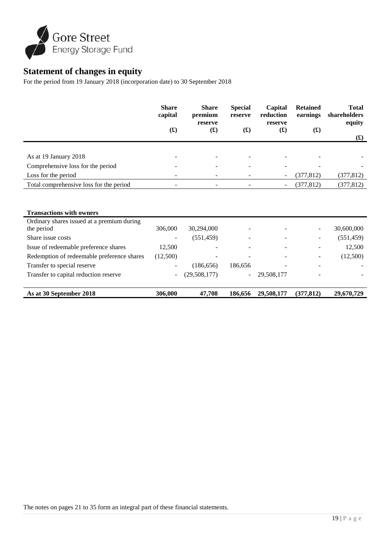

# **Statement of changes in equity**

For the period from 19 January 2018 (incorporation date) to 30 September 2018

|                                         | <b>Share</b><br>capital<br>$\left( \textbf{\text{f}}\right)$ | <b>Share</b><br>premium<br>reserve<br>$\mathbf{f}(\mathbf{f})$ | <b>Special</b><br>reserve<br>$\mathbf{f}(\mathbf{f})$ | Capital<br>reduction<br>reserve<br>$\mathbf{(f)}$ | <b>Retained</b><br>earnings<br>$\mathbf{(f)}$ | <b>Total</b><br>shareholders<br>equity |
|-----------------------------------------|--------------------------------------------------------------|----------------------------------------------------------------|-------------------------------------------------------|---------------------------------------------------|-----------------------------------------------|----------------------------------------|
|                                         |                                                              |                                                                |                                                       |                                                   |                                               | $\mathbf{f}(\mathbf{f})$               |
|                                         |                                                              |                                                                |                                                       |                                                   |                                               |                                        |
| As at 19 January 2018                   |                                                              |                                                                | -                                                     |                                                   | $\overline{\phantom{0}}$                      |                                        |
| Comprehensive loss for the period       |                                                              | -                                                              | $\overline{\phantom{a}}$                              |                                                   | $\overline{\phantom{0}}$                      |                                        |
| Loss for the period                     |                                                              |                                                                |                                                       | $\overline{\phantom{a}}$                          | (377, 812)                                    | (377, 812)                             |
| Total comprehensive loss for the period | $\overline{\phantom{0}}$                                     | $\overline{\phantom{a}}$                                       |                                                       | $\overline{\phantom{a}}$                          | (377, 812)                                    | (377, 812)                             |
|                                         |                                                              |                                                                |                                                       |                                                   |                                               |                                        |

| <b>Transactions with owners</b>            |                          |              |                          |                          |                          |            |
|--------------------------------------------|--------------------------|--------------|--------------------------|--------------------------|--------------------------|------------|
| Ordinary shares issued at a premium during |                          |              |                          |                          |                          |            |
| the period                                 | 306,000                  | 30,294,000   |                          |                          | $\overline{\phantom{a}}$ | 30,600,000 |
| Share issue costs                          |                          | (551, 459)   |                          |                          | -                        | (551, 459) |
| Issue of redeemable preference shares      | 12.500                   |              | -                        | $\overline{\phantom{0}}$ | ۰                        | 12,500     |
| Redemption of redeemable preference shares | (12,500)                 |              |                          |                          | $\overline{\phantom{0}}$ | (12,500)   |
| Transfer to special reserve                | $\overline{\phantom{0}}$ | (186, 656)   | 186,656                  |                          | $\overline{\phantom{a}}$ |            |
| Transfer to capital reduction reserve      | $\overline{\phantom{a}}$ | (29,508,177) | $\overline{\phantom{0}}$ | 29,508,177               | ۰                        |            |
|                                            |                          |              |                          |                          |                          |            |
| As at 30 September 2018                    | 306,000                  | 47,708       | 186,656                  | 29,508,177               | (377, 812)               | 29,670,729 |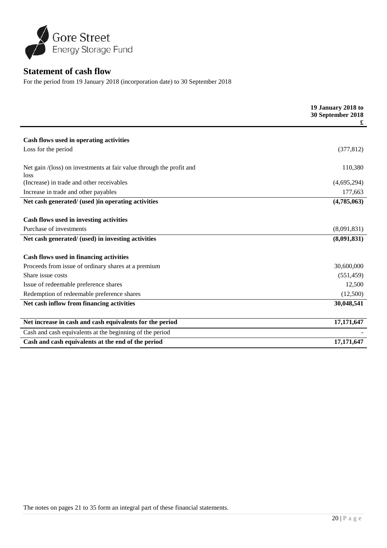

# **Statement of cash flow**

For the period from 19 January 2018 (incorporation date) to 30 September 2018

|                                                                                                | 19 January 2018 to<br>30 September 2018<br>£ |
|------------------------------------------------------------------------------------------------|----------------------------------------------|
| Cash flows used in operating activities                                                        |                                              |
| Loss for the period                                                                            | (377, 812)                                   |
| Net gain /(loss) on investments at fair value through the profit and<br>loss                   | 110,380                                      |
| (Increase) in trade and other receivables                                                      | (4,695,294)                                  |
| Increase in trade and other payables                                                           | 177,663                                      |
| Net cash generated/ (used ) in operating activities                                            | (4,785,063)                                  |
| Cash flows used in investing activities<br>Purchase of investments                             | (8,091,831)                                  |
| Net cash generated/ (used) in investing activities                                             | (8,091,831)                                  |
| Cash flows used in financing activities<br>Proceeds from issue of ordinary shares at a premium | 30,600,000                                   |
| Share issue costs                                                                              | (551, 459)                                   |
| Issue of redeemable preference shares                                                          | 12,500                                       |
| Redemption of redeemable preference shares                                                     | (12,500)                                     |
| Net cash inflow from financing activities                                                      | 30,048,541                                   |
|                                                                                                |                                              |
| Net increase in cash and cash equivalents for the period                                       | 17,171,647                                   |
| Cash and cash equivalents at the beginning of the period                                       |                                              |
| Cash and cash equivalents at the end of the period                                             | 17,171,647                                   |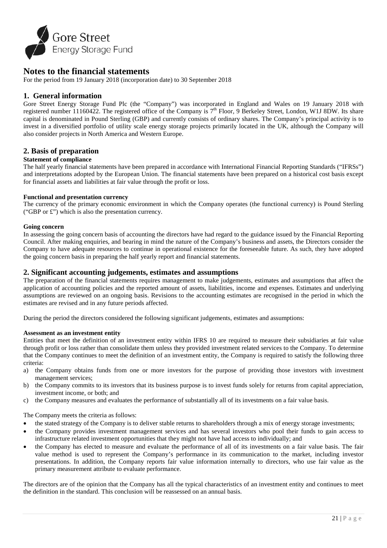

# **Notes to the financial statements**

For the period from 19 January 2018 (incorporation date) to 30 September 2018

# **1. General information**

Gore Street Energy Storage Fund Plc (the "Company") was incorporated in England and Wales on 19 January 2018 with registered number 11160422. The registered office of the Company is  $7<sup>th</sup>$  Floor, 9 Berkeley Street, London, W1J 8DW. Its share capital is denominated in Pound Sterling (GBP) and currently consists of ordinary shares. The Company's principal activity is to invest in a diversified portfolio of utility scale energy storage projects primarily located in the UK, although the Company will also consider projects in North America and Western Europe.

# **2. Basis of preparation**

# **Statement of compliance**

The half yearly financial statements have been prepared in accordance with International Financial Reporting Standards ("IFRSs") and interpretations adopted by the European Union. The financial statements have been prepared on a historical cost basis except for financial assets and liabilities at fair value through the profit or loss.

#### **Functional and presentation currency**

The currency of the primary economic environment in which the Company operates (the functional currency) is Pound Sterling ("GBP or £") which is also the presentation currency.

#### **Going concern**

In assessing the going concern basis of accounting the directors have had regard to the guidance issued by the Financial Reporting Council. After making enquiries, and bearing in mind the nature of the Company's business and assets, the Directors consider the Company to have adequate resources to continue in operational existence for the foreseeable future. As such, they have adopted the going concern basis in preparing the half yearly report and financial statements.

### **2. Significant accounting judgements, estimates and assumptions**

The preparation of the financial statements requires management to make judgements, estimates and assumptions that affect the application of accounting policies and the reported amount of assets, liabilities, income and expenses. Estimates and underlying assumptions are reviewed on an ongoing basis. Revisions to the accounting estimates are recognised in the period in which the estimates are revised and in any future periods affected.

During the period the directors considered the following significant judgements, estimates and assumptions:

#### **Assessment as an investment entity**

Entities that meet the definition of an investment entity within IFRS 10 are required to measure their subsidiaries at fair value through profit or loss rather than consolidate them unless they provided investment related services to the Company. To determine that the Company continues to meet the definition of an investment entity, the Company is required to satisfy the following three criteria:

- a) the Company obtains funds from one or more investors for the purpose of providing those investors with investment management services;
- b) the Company commits to its investors that its business purpose is to invest funds solely for returns from capital appreciation, investment income, or both; and
- c) the Company measures and evaluates the performance of substantially all of its investments on a fair value basis.

The Company meets the criteria as follows:

- the stated strategy of the Company is to deliver stable returns to shareholders through a mix of energy storage investments;
- the Company provides investment management services and has several investors who pool their funds to gain access to infrastructure related investment opportunities that they might not have had access to individually; and
- the Company has elected to measure and evaluate the performance of all of its investments on a fair value basis. The fair value method is used to represent the Company's performance in its communication to the market, including investor presentations. In addition, the Company reports fair value information internally to directors, who use fair value as the primary measurement attribute to evaluate performance.

The directors are of the opinion that the Company has all the typical characteristics of an investment entity and continues to meet the definition in the standard. This conclusion will be reassessed on an annual basis.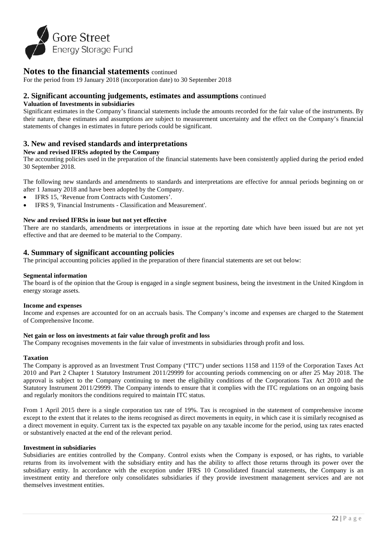

For the period from 19 January 2018 (incorporation date) to 30 September 2018

# **2. Significant accounting judgements, estimates and assumptions** continued

#### **Valuation of Investments in subsidiaries**

Significant estimates in the Company's financial statements include the amounts recorded for the fair value of the instruments. By their nature, these estimates and assumptions are subject to measurement uncertainty and the effect on the Company's financial statements of changes in estimates in future periods could be significant.

# **3. New and revised standards and interpretations**

#### **New and revised IFRSs adopted by the Company**

The accounting policies used in the preparation of the financial statements have been consistently applied during the period ended 30 September 2018.

The following new standards and amendments to standards and interpretations are effective for annual periods beginning on or after 1 January 2018 and have been adopted by the Company.

- IFRS 15, 'Revenue from Contracts with Customers'.
- IFRS 9, 'Financial Instruments Classification and Measurement'.

#### **New and revised IFRSs in issue but not yet effective**

There are no standards, amendments or interpretations in issue at the reporting date which have been issued but are not yet effective and that are deemed to be material to the Company.

# **4. Summary of significant accounting policies**

The principal accounting policies applied in the preparation of there financial statements are set out below:

#### **Segmental information**

The board is of the opinion that the Group is engaged in a single segment business, being the investment in the United Kingdom in energy storage assets.

#### **Income and expenses**

Income and expenses are accounted for on an accruals basis. The Company's income and expenses are charged to the Statement of Comprehensive Income.

#### **Net gain or loss on investments at fair value through profit and loss**

The Company recognises movements in the fair value of investments in subsidiaries through profit and loss.

#### **Taxation**

The Company is approved as an Investment Trust Company ("ITC") under sections 1158 and 1159 of the Corporation Taxes Act 2010 and Part 2 Chapter 1 Statutory Instrument 2011/29999 for accounting periods commencing on or after 25 May 2018. The approval is subject to the Company continuing to meet the eligibility conditions of the Corporations Tax Act 2010 and the Statutory Instrument 2011/29999. The Company intends to ensure that it complies with the ITC regulations on an ongoing basis and regularly monitors the conditions required to maintain ITC status.

From 1 April 2015 there is a single corporation tax rate of 19%. Tax is recognised in the statement of comprehensive income except to the extent that it relates to the items recognised as direct movements in equity, in which case it is similarly recognised as a direct movement in equity. Current tax is the expected tax payable on any taxable income for the period, using tax rates enacted or substantively enacted at the end of the relevant period.

#### **Investment in subsidiaries**

Subsidiaries are entities controlled by the Company. Control exists when the Company is exposed, or has rights, to variable returns from its involvement with the subsidiary entity and has the ability to affect those returns through its power over the subsidiary entity. In accordance with the exception under IFRS 10 Consolidated financial statements, the Company is an investment entity and therefore only consolidates subsidiaries if they provide investment management services and are not themselves investment entities.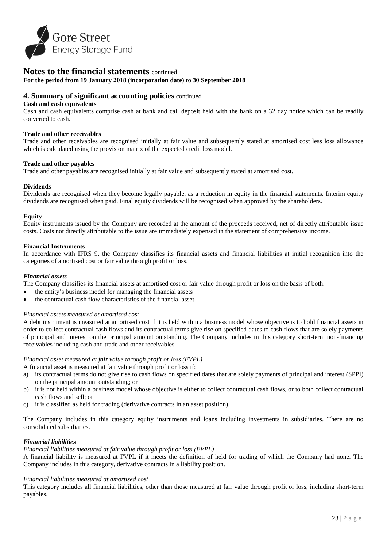

**For the period from 19 January 2018 (incorporation date) to 30 September 2018**

# **4. Summary of significant accounting policies** continued

#### **Cash and cash equivalents**

Cash and cash equivalents comprise cash at bank and call deposit held with the bank on a 32 day notice which can be readily converted to cash.

#### **Trade and other receivables**

Trade and other receivables are recognised initially at fair value and subsequently stated at amortised cost less loss allowance which is calculated using the provision matrix of the expected credit loss model.

#### **Trade and other payables**

Trade and other payables are recognised initially at fair value and subsequently stated at amortised cost.

#### **Dividends**

Dividends are recognised when they become legally payable, as a reduction in equity in the financial statements. Interim equity dividends are recognised when paid. Final equity dividends will be recognised when approved by the shareholders.

#### **Equity**

Equity instruments issued by the Company are recorded at the amount of the proceeds received, net of directly attributable issue costs. Costs not directly attributable to the issue are immediately expensed in the statement of comprehensive income.

#### **Financial Instruments**

In accordance with IFRS 9, the Company classifies its financial assets and financial liabilities at initial recognition into the categories of amortised cost or fair value through profit or loss.

#### *Financial assets*

The Company classifies its financial assets at amortised cost or fair value through profit or loss on the basis of both:

- the entity's business model for managing the financial assets
- the contractual cash flow characteristics of the financial asset

#### *Financial assets measured at amortised cost*

A debt instrument is measured at amortised cost if it is held within a business model whose objective is to hold financial assets in order to collect contractual cash flows and its contractual terms give rise on specified dates to cash flows that are solely payments of principal and interest on the principal amount outstanding. The Company includes in this category short-term non-financing receivables including cash and trade and other receivables.

#### *Financial asset measured at fair value through profit or loss (FVPL)*

A financial asset is measured at fair value through profit or loss if:

- a) its contractual terms do not give rise to cash flows on specified dates that are solely payments of principal and interest (SPPI) on the principal amount outstanding; or
- b) it is not held within a business model whose objective is either to collect contractual cash flows, or to both collect contractual cash flows and sell; or
- c) it is classified as held for trading (derivative contracts in an asset position).

The Company includes in this category equity instruments and loans including investments in subsidiaries. There are no consolidated subsidiaries.

#### *Financial liabilities*

#### *Financial liabilities measured at fair value through profit or loss (FVPL)*

A financial liability is measured at FVPL if it meets the definition of held for trading of which the Company had none. The Company includes in this category, derivative contracts in a liability position.

#### *Financial liabilities measured at amortised cost*

This category includes all financial liabilities, other than those measured at fair value through profit or loss, including short-term payables.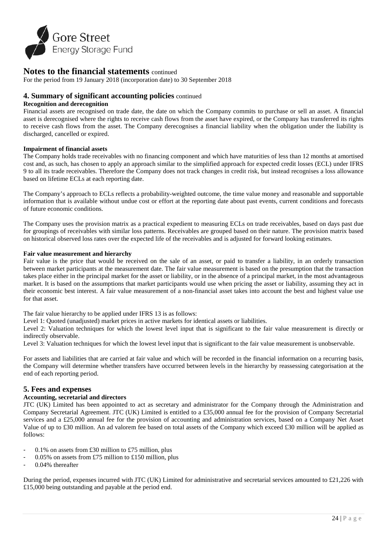

For the period from 19 January 2018 (incorporation date) to 30 September 2018

### **4. Summary of significant accounting policies** continued

#### **Recognition and derecognition**

Financial assets are recognised on trade date, the date on which the Company commits to purchase or sell an asset. A financial asset is derecognised where the rights to receive cash flows from the asset have expired, or the Company has transferred its rights to receive cash flows from the asset. The Company derecognises a financial liability when the obligation under the liability is discharged, cancelled or expired.

#### **Impairment of financial assets**

The Company holds trade receivables with no financing component and which have maturities of less than 12 months at amortised cost and, as such, has chosen to apply an approach similar to the simplified approach for expected credit losses (ECL) under IFRS 9 to all its trade receivables. Therefore the Company does not track changes in credit risk, but instead recognises a loss allowance based on lifetime ECLs at each reporting date.

The Company's approach to ECLs reflects a probability-weighted outcome, the time value money and reasonable and supportable information that is available without undue cost or effort at the reporting date about past events, current conditions and forecasts of future economic conditions.

The Company uses the provision matrix as a practical expedient to measuring ECLs on trade receivables, based on days past due for groupings of receivables with similar loss patterns. Receivables are grouped based on their nature. The provision matrix based on historical observed loss rates over the expected life of the receivables and is adjusted for forward looking estimates.

#### **Fair value measurement and hierarchy**

Fair value is the price that would be received on the sale of an asset, or paid to transfer a liability, in an orderly transaction between market participants at the measurement date. The fair value measurement is based on the presumption that the transaction takes place either in the principal market for the asset or liability, or in the absence of a principal market, in the most advantageous market. It is based on the assumptions that market participants would use when pricing the asset or liability, assuming they act in their economic best interest. A fair value measurement of a non-financial asset takes into account the best and highest value use for that asset.

The fair value hierarchy to be applied under IFRS 13 is as follows:

Level 1: Quoted (unadjusted) market prices in active markets for identical assets or liabilities.

Level 2: Valuation techniques for which the lowest level input that is significant to the fair value measurement is directly or indirectly observable.

Level 3: Valuation techniques for which the lowest level input that is significant to the fair value measurement is unobservable.

For assets and liabilities that are carried at fair value and which will be recorded in the financial information on a recurring basis, the Company will determine whether transfers have occurred between levels in the hierarchy by reassessing categorisation at the end of each reporting period.

# **5. Fees and expenses**

#### **Accounting, secretarial and directors**

JTC (UK) Limited has been appointed to act as secretary and administrator for the Company through the Administration and Company Secretarial Agreement. JTC (UK) Limited is entitled to a £35,000 annual fee for the provision of Company Secretarial services and a £25,000 annual fee for the provision of accounting and administration services, based on a Company Net Asset Value of up to £30 million. An ad valorem fee based on total assets of the Company which exceed £30 million will be applied as follows:

- 0.1% on assets from £30 million to £75 million, plus
- 0.05% on assets from £75 million to £150 million, plus
- 0.04% thereafter

During the period, expenses incurred with JTC (UK) Limited for administrative and secretarial services amounted to £21,226 with £15,000 being outstanding and payable at the period end.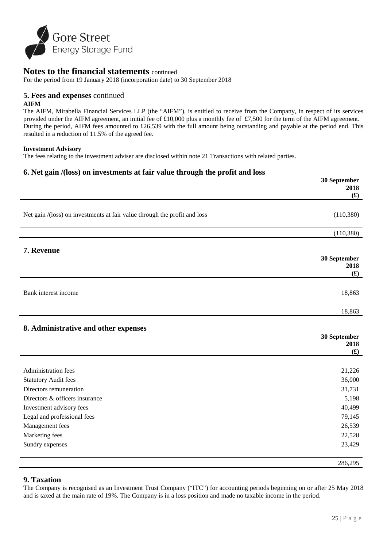

For the period from 19 January 2018 (incorporation date) to 30 September 2018

# **5. Fees and expenses** continued

#### **AIFM**

The AIFM, Mirabella Financial Services LLP (the "AIFM"), is entitled to receive from the Company, in respect of its services provided under the AIFM agreement, an initial fee of £10,000 plus a monthly fee of £7,500 for the term of the AIFM agreement. During the period, AIFM fees amounted to £26,539 with the full amount being outstanding and payable at the period end. This resulted in a reduction of 11.5% of the agreed fee.

#### **Investment Advisory**

The fees relating to the investment adviser are disclosed within note 21 Transactions with related parties.

# **6. Net gain /(loss) on investments at fair value through the profit and loss**

|                                                                           | 30 September<br>2018                     |
|---------------------------------------------------------------------------|------------------------------------------|
|                                                                           | f(x)                                     |
|                                                                           |                                          |
| Net gain /(loss) on investments at fair value through the profit and loss | (110, 380)                               |
|                                                                           |                                          |
|                                                                           | (110, 380)                               |
|                                                                           |                                          |
| 7. Revenue                                                                |                                          |
|                                                                           | 30 September<br>2018                     |
|                                                                           | f(x)                                     |
|                                                                           |                                          |
| Bank interest income                                                      | 18,863                                   |
|                                                                           |                                          |
|                                                                           | 18,863                                   |
|                                                                           |                                          |
| 8. Administrative and other expenses                                      |                                          |
|                                                                           | 30 September<br>2018                     |
|                                                                           | $\left( \pmb{\pmb{\pmb{\cdot}}} \right)$ |
|                                                                           |                                          |
| <b>Administration fees</b>                                                | 21,226                                   |
| <b>Statutory Audit fees</b>                                               | 36,000                                   |
| Directors remuneration                                                    | 31,731                                   |
| Directors & officers insurance                                            | 5,198                                    |
| Investment advisory fees                                                  | 40,499                                   |
| Legal and professional fees                                               | 79,145                                   |
| Management fees                                                           | 26,539                                   |
| Marketing fees                                                            | 22,528                                   |
| Sundry expenses                                                           | 23,429                                   |
|                                                                           | 286,295                                  |

# **9. Taxation**

The Company is recognised as an Investment Trust Company ("ITC") for accounting periods beginning on or after 25 May 2018 and is taxed at the main rate of 19%. The Company is in a loss position and made no taxable income in the period.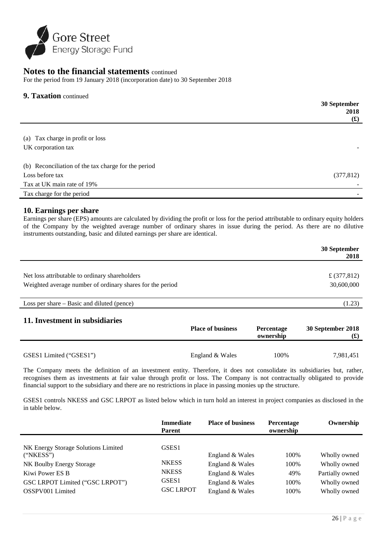

For the period from 19 January 2018 (incorporation date) to 30 September 2018

# **9. Taxation** continued

|                                                     | 30 September |
|-----------------------------------------------------|--------------|
|                                                     | 2018         |
|                                                     | f(x)         |
|                                                     |              |
| (a) Tax charge in profit or loss                    |              |
| UK corporation tax                                  |              |
|                                                     |              |
| (b) Reconciliation of the tax charge for the period |              |
| Loss before tax                                     | (377, 812)   |
| Tax at UK main rate of 19%                          |              |
| Tax charge for the period                           |              |

# **10. Earnings per share**

Earnings per share (EPS) amounts are calculated by dividing the profit or loss for the period attributable to ordinary equity holders of the Company by the weighted average number of ordinary shares in issue during the period. As there are no dilutive instruments outstanding, basic and diluted earnings per share are identical.

|                                                           |                          |                   | 30 September<br>2018 |
|-----------------------------------------------------------|--------------------------|-------------------|----------------------|
|                                                           |                          |                   |                      |
| Net loss attributable to ordinary shareholders            |                          |                   | £ $(377, 812)$       |
| Weighted average number of ordinary shares for the period |                          |                   | 30,600,000           |
|                                                           |                          |                   |                      |
| Loss per share $-$ Basic and diluted (pence)              |                          |                   | (1.23)               |
| 11. Investment in subsidiaries                            | <b>Place of business</b> | <b>Percentage</b> | 30 September 2018    |

|                         | <b>THUG OF DUBLICE</b> | <b>T</b> of comments<br>ownership | $\sim$ bepression $\approx$<br>しょ) |
|-------------------------|------------------------|-----------------------------------|------------------------------------|
| GSES1 Limited ("GSES1") | England & Wales        | 100%                              | 7,981,451                          |

The Company meets the definition of an investment entity. Therefore, it does not consolidate its subsidiaries but, rather, recognises them as investments at fair value through profit or loss. The Company is not contractually obligated to provide financial support to the subsidiary and there are no restrictions in place in passing monies up the structure.

GSES1 controls NKESS and GSC LRPOT as listed below which in turn hold an interest in project companies as disclosed in the in table below.

|                                                                                                                                                        | <b>Immediate</b><br><b>Parent</b>                                                          | <b>Place of business</b>                                                                    | Percentage<br>ownership             | Ownership                                                                       |
|--------------------------------------------------------------------------------------------------------------------------------------------------------|--------------------------------------------------------------------------------------------|---------------------------------------------------------------------------------------------|-------------------------------------|---------------------------------------------------------------------------------|
| NK Energy Storage Solutions Limited<br>("NKESS")<br>NK Boulby Energy Storage<br>Kiwi Power ES B<br>GSC LRPOT Limited ("GSC LRPOT")<br>OSSPV001 Limited | GSES <sub>1</sub><br><b>NKESS</b><br><b>NKESS</b><br>GSES <sub>1</sub><br><b>GSC LRPOT</b> | England & Wales<br>England & Wales<br>England & Wales<br>England & Wales<br>England & Wales | 100%<br>100%<br>49%<br>100%<br>100% | Wholly owned<br>Wholly owned<br>Partially owned<br>Wholly owned<br>Wholly owned |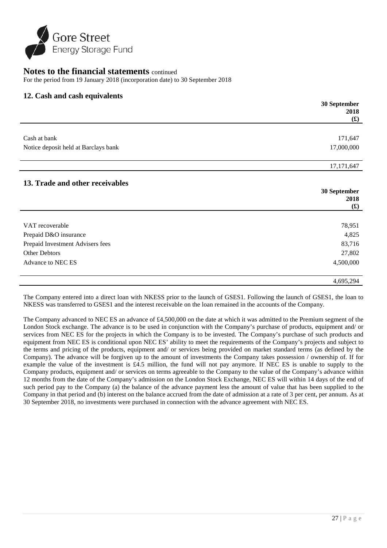

For the period from 19 January 2018 (incorporation date) to 30 September 2018

# **12. Cash and cash equivalents**

|                                      | 30 September             |
|--------------------------------------|--------------------------|
|                                      | 2018                     |
|                                      | $\mathbf{f}(\mathbf{f})$ |
|                                      |                          |
| Cash at bank                         | 171,647                  |
| Notice deposit held at Barclays bank | 17,000,000               |
|                                      |                          |
|                                      | 17, 171, 647             |
|                                      |                          |
| 13. Trade and other receivables      |                          |
|                                      | 30 September             |
|                                      | 2018                     |
|                                      | $\mathbf{f}(\mathbf{f})$ |
| VAT recoverable                      | 78,951                   |
| Prepaid D&O insurance                | 4,825                    |
| Prepaid Investment Advisers fees     | 83,716                   |
| Other Debtors                        | 27,802                   |
| Advance to NEC ES                    | 4,500,000                |
|                                      |                          |
|                                      | 4,695,294                |

The Company entered into a direct loan with NKESS prior to the launch of GSES1. Following the launch of GSES1, the loan to NKESS was transferred to GSES1 and the interest receivable on the loan remained in the accounts of the Company.

The Company advanced to NEC ES an advance of £4,500,000 on the date at which it was admitted to the Premium segment of the London Stock exchange. The advance is to be used in conjunction with the Company's purchase of products, equipment and/ or services from NEC ES for the projects in which the Company is to be invested. The Company's purchase of such products and equipment from NEC ES is conditional upon NEC ES' ability to meet the requirements of the Company's projects and subject to the terms and pricing of the products, equipment and/ or services being provided on market standard terms (as defined by the Company). The advance will be forgiven up to the amount of investments the Company takes possession / ownership of. If for example the value of the investment is £4.5 million, the fund will not pay anymore. If NEC ES is unable to supply to the Company products, equipment and/ or services on terms agreeable to the Company to the value of the Company's advance within 12 months from the date of the Company's admission on the London Stock Exchange, NEC ES will within 14 days of the end of such period pay to the Company (a) the balance of the advance payment less the amount of value that has been supplied to the Company in that period and (b) interest on the balance accrued from the date of admission at a rate of 3 per cent, per annum. As at 30 September 2018, no investments were purchased in connection with the advance agreement with NEC ES.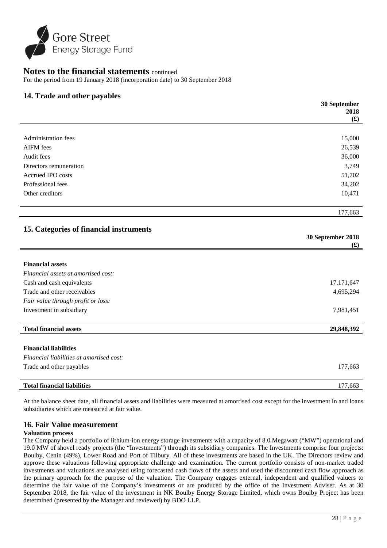

For the period from 19 January 2018 (incorporation date) to 30 September 2018

# **14. Trade and other payables**

|                                          | 30 September                                  |
|------------------------------------------|-----------------------------------------------|
|                                          | 2018                                          |
|                                          | $f(\mathbf{f})$                               |
|                                          |                                               |
| <b>Administration fees</b>               | 15,000                                        |
| <b>AIFM</b> fees                         | 26,539                                        |
| Audit fees                               | 36,000                                        |
| Directors remuneration                   | 3,749                                         |
| Accrued IPO costs                        | 51,702                                        |
| Professional fees                        | 34,202                                        |
| Other creditors                          | 10,471                                        |
|                                          |                                               |
|                                          | 177,663                                       |
|                                          |                                               |
| 15. Categories of financial instruments  |                                               |
|                                          | 30 September 2018<br>$\mathbf{f}(\mathbf{f})$ |
|                                          |                                               |
| <b>Financial assets</b>                  |                                               |
| Financial assets at amortised cost:      |                                               |
| Cash and cash equivalents                | 17,171,647                                    |
| Trade and other receivables              | 4,695,294                                     |
| Fair value through profit or loss:       |                                               |
| Investment in subsidiary                 | 7,981,451                                     |
|                                          |                                               |
| <b>Total financial assets</b>            | 29,848,392                                    |
|                                          |                                               |
| <b>Financial liabilities</b>             |                                               |
| Financial liabilities at amortised cost: |                                               |
| Trade and other payables                 | 177,663                                       |
|                                          |                                               |
|                                          |                                               |

At the balance sheet date, all financial assets and liabilities were measured at amortised cost except for the investment in and loans subsidiaries which are measured at fair value.

# **16. Fair Value measurement**

#### **Valuation process**

The Company held a portfolio of lithium-ion energy storage investments with a capacity of 8.0 Megawatt ("MW") operational and 19.0 MW of shovel ready projects (the "Investments") through its subsidiary companies. The Investments comprise four projects: Boulby, Cenin (49%), Lower Road and Port of Tilbury. All of these investments are based in the UK. The Directors review and approve these valuations following appropriate challenge and examination. The current portfolio consists of non-market traded investments and valuations are analysed using forecasted cash flows of the assets and used the discounted cash flow approach as the primary approach for the purpose of the valuation. The Company engages external, independent and qualified valuers to determine the fair value of the Company's investments or are produced by the office of the Investment Adviser. As at 30 September 2018, the fair value of the investment in NK Boulby Energy Storage Limited, which owns Boulby Project has been determined (presented by the Manager and reviewed) by BDO LLP.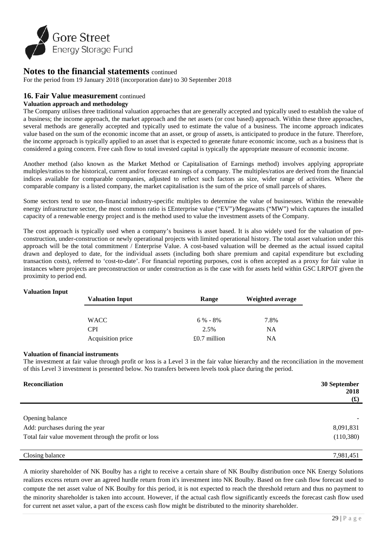

For the period from 19 January 2018 (incorporation date) to 30 September 2018

# **16. Fair Value measurement** continued

#### **Valuation approach and methodology**

The Company utilises three traditional valuation approaches that are generally accepted and typically used to establish the value of a business; the income approach, the market approach and the net assets (or cost based) approach. Within these three approaches, several methods are generally accepted and typically used to estimate the value of a business. The income approach indicates value based on the sum of the economic income that an asset, or group of assets, is anticipated to produce in the future. Therefore, the income approach is typically applied to an asset that is expected to generate future economic income, such as a business that is considered a going concern. Free cash flow to total invested capital is typically the appropriate measure of economic income.

Another method (also known as the Market Method or Capitalisation of Earnings method) involves applying appropriate multiples/ratios to the historical, current and/or forecast earnings of a company. The multiples/ratios are derived from the financial indices available for comparable companies, adjusted to reflect such factors as size, wider range of activities. Where the comparable company is a listed company, the market capitalisation is the sum of the price of small parcels of shares.

Some sectors tend to use non-financial industry-specific multiples to determine the value of businesses. Within the renewable energy infrastructure sector, the most common ratio is £Enterprise value ("EV")/Megawatts ("MW") which captures the installed capacity of a renewable energy project and is the method used to value the investment assets of the Company.

The cost approach is typically used when a company's business is asset based. It is also widely used for the valuation of preconstruction, under-construction or newly operational projects with limited operational history. The total asset valuation under this approach will be the total commitment / Enterprise Value. A cost-based valuation will be deemed as the actual issued capital drawn and deployed to date, for the individual assets (including both share premium and capital expenditure but excluding transaction costs), referred to 'cost-to-date'. For financial reporting purposes, cost is often accepted as a proxy for fair value in instances where projects are preconstruction or under construction as is the case with for assets held within GSC LRPOT given the proximity to period end.

#### **Valuation Input**

| <b>Valuation Input</b><br><b>Range</b> |                | Weighted average |
|----------------------------------------|----------------|------------------|
|                                        |                |                  |
| WACC                                   | $6\% - 8\%$    | 7.8%             |
| <b>CPI</b>                             | 2.5%           | <b>NA</b>        |
| Acquisition price                      | $£0.7$ million | NΑ               |

#### **Valuation of financial instruments**

The investment at fair value through profit or loss is a Level 3 in the fair value hierarchy and the reconciliation in the movement of this Level 3 investment is presented below. No transfers between levels took place during the period.

| Reconciliation                                       | 30 September<br>2018<br>$(\mathbf{\hat{x}})$ |
|------------------------------------------------------|----------------------------------------------|
|                                                      |                                              |
| Opening balance                                      |                                              |
| Add: purchases during the year                       | 8,091,831                                    |
| Total fair value movement through the profit or loss | (110,380)                                    |
|                                                      |                                              |
| Closing balance                                      | 7,981,451                                    |

A miority shareholder of NK Boulby has a right to receive a certain share of NK Boulby distribution once NK Energy Solutions realizes excess return over an agreed hurdle return from it's investment into NK Boulby. Based on free cash flow forecast used to compute the net asset value of NK Boulby for this period, it is not expected to reach the threshold return and thus no payment to the minority shareholder is taken into account. However, if the actual cash flow significantly exceeds the forecast cash flow used for current net asset value, a part of the excess cash flow might be distributed to the minority shareholder.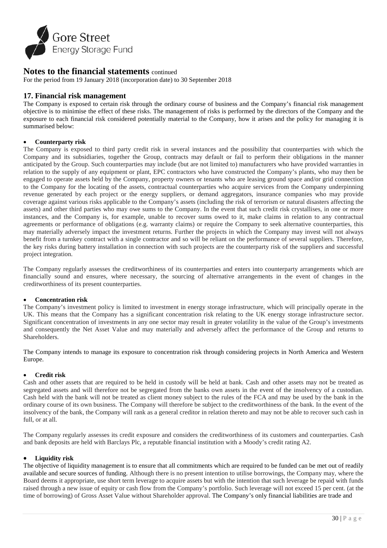

For the period from 19 January 2018 (incorporation date) to 30 September 2018

# **17. Financial risk management**

The Company is exposed to certain risk through the ordinary course of business and the Company's financial risk management objective is to minimise the effect of these risks. The management of risks is performed by the directors of the Company and the exposure to each financial risk considered potentially material to the Company, how it arises and the policy for managing it is summarised below:

#### • **Counterparty risk**

The Company is exposed to third party credit risk in several instances and the possibility that counterparties with which the Company and its subsidiaries, together the Group, contracts may default or fail to perform their obligations in the manner anticipated by the Group. Such counterparties may include (but are not limited to) manufacturers who have provided warranties in relation to the supply of any equipment or plant, EPC contractors who have constructed the Company's plants, who may then be engaged to operate assets held by the Company, property owners or tenants who are leasing ground space and/or grid connection to the Company for the locating of the assets, contractual counterparties who acquire services from the Company underpinning revenue generated by each project or the energy suppliers, or demand aggregators, insurance companies who may provide coverage against various risks applicable to the Company's assets (including the risk of terrorism or natural disasters affecting the assets) and other third parties who may owe sums to the Company. In the event that such credit risk crystallises, in one or more instances, and the Company is, for example, unable to recover sums owed to it, make claims in relation to any contractual agreements or performance of obligations (e.g. warranty claims) or require the Company to seek alternative counterparties, this may materially adversely impact the investment returns. Further the projects in which the Company may invest will not always benefit from a turnkey contract with a single contractor and so will be reliant on the performance of several suppliers. Therefore, the key risks during battery installation in connection with such projects are the counterparty risk of the suppliers and successful project integration.

The Company regularly assesses the creditworthiness of its counterparties and enters into counterparty arrangements which are financially sound and ensures, where necessary, the sourcing of alternative arrangements in the event of changes in the creditworthiness of its present counterparties.

#### • **Concentration risk**

The Company's investment policy is limited to investment in energy storage infrastructure, which will principally operate in the UK. This means that the Company has a significant concentration risk relating to the UK energy storage infrastructure sector. Significant concentration of investments in any one sector may result in greater volatility in the value of the Group's investments and consequently the Net Asset Value and may materially and adversely affect the performance of the Group and returns to **Shareholders** 

The Company intends to manage its exposure to concentration risk through considering projects in North America and Western Europe.

#### • **Credit risk**

Cash and other assets that are required to be held in custody will be held at bank. Cash and other assets may not be treated as segregated assets and will therefore not be segregated from the banks own assets in the event of the insolvency of a custodian. Cash held with the bank will not be treated as client money subject to the rules of the FCA and may be used by the bank in the ordinary course of its own business. The Company will therefore be subject to the creditworthiness of the bank. In the event of the insolvency of the bank, the Company will rank as a general creditor in relation thereto and may not be able to recover such cash in full, or at all.

The Company regularly assesses its credit exposure and considers the creditworthiness of its customers and counterparties. Cash and bank deposits are held with Barclays Plc, a reputable financial institution with a Moody's credit rating A2.

#### • **Liquidity risk**

The objective of liquidity management is to ensure that all commitments which are required to be funded can be met out of readily available and secure sources of funding. Although there is no present intention to utilise borrowings, the Company may, where the Board deems it appropriate, use short term leverage to acquire assets but with the intention that such leverage be repaid with funds raised through a new issue of equity or cash flow from the Company's portfolio. Such leverage will not exceed 15 per cent. (at the time of borrowing) of Gross Asset Value without Shareholder approval. The Company's only financial liabilities are trade and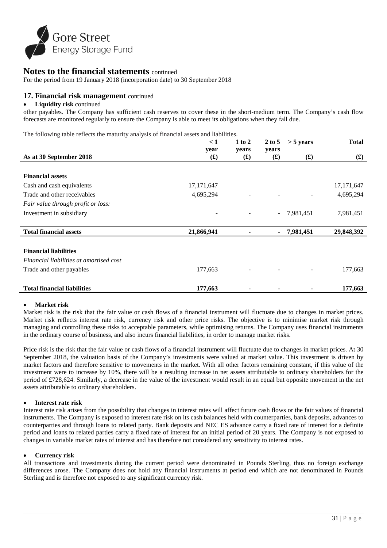

For the period from 19 January 2018 (incorporation date) to 30 September 2018

# **17. Financial risk management** continued

#### • **Liquidity risk** continued

other payables. The Company has sufficient cash reserves to cover these in the short-medium term. The Company's cash flow forecasts are monitored regularly to ensure the Company is able to meet its obligations when they fall due.

The following table reflects the maturity analysis of financial assets and liabilities.

|                                         | < 1                    | $1$ to $2$              | $2$ to 5                          | $>$ 5 years              | <b>Total</b>             |
|-----------------------------------------|------------------------|-------------------------|-----------------------------------|--------------------------|--------------------------|
| As at 30 September 2018                 | year<br>$\mathbf f(x)$ | years<br>$\mathbf f(x)$ | years<br>$\mathbf{f}(\mathbf{f})$ | $\mathbf{f}(\mathbf{f})$ | $\mathbf{f}(\mathbf{f})$ |
|                                         |                        |                         |                                   |                          |                          |
| <b>Financial assets</b>                 |                        |                         |                                   |                          |                          |
| Cash and cash equivalents               | 17, 171, 647           |                         |                                   |                          | 17, 171, 647             |
| Trade and other receivables             | 4,695,294              |                         |                                   |                          | 4,695,294                |
| Fair value through profit or loss:      |                        |                         |                                   |                          |                          |
| Investment in subsidiary                |                        |                         | $\sim$                            | 7,981,451                | 7,981,451                |
| <b>Total financial assets</b>           | 21,866,941             | ۰                       |                                   | 7,981,451                | 29,848,392               |
|                                         |                        |                         |                                   |                          |                          |
| <b>Financial liabilities</b>            |                        |                         |                                   |                          |                          |
| Financial liabilities at amortised cost |                        |                         |                                   |                          |                          |
| Trade and other payables                | 177,663                |                         |                                   |                          | 177,663                  |
| <b>Total financial liabilities</b>      | 177,663                |                         |                                   |                          | 177,663                  |

#### • **Market risk**

Market risk is the risk that the fair value or cash flows of a financial instrument will fluctuate due to changes in market prices. Market risk reflects interest rate risk, currency risk and other price risks. The objective is to minimise market risk through managing and controlling these risks to acceptable parameters, while optimising returns. The Company uses financial instruments in the ordinary course of business, and also incurs financial liabilities, in order to manage market risks.

Price risk is the risk that the fair value or cash flows of a financial instrument will fluctuate due to changes in market prices. At 30 September 2018, the valuation basis of the Company's investments were valued at market value. This investment is driven by market factors and therefore sensitive to movements in the market. With all other factors remaining constant, if this value of the investment were to increase by 10%, there will be a resulting increase in net assets attributable to ordinary shareholders for the period of £728,624. Similarly, a decrease in the value of the investment would result in an equal but opposite movement in the net assets attributable to ordinary shareholders.

#### • **Interest rate risk**

Interest rate risk arises from the possibility that changes in interest rates will affect future cash flows or the fair values of financial instruments. The Company is exposed to interest rate risk on its cash balances held with counterparties, bank deposits, advances to counterparties and through loans to related party. Bank deposits and NEC ES advance carry a fixed rate of interest for a definite period and loans to related parties carry a fixed rate of interest for an initial period of 20 years. The Company is not exposed to changes in variable market rates of interest and has therefore not considered any sensitivity to interest rates.

#### • **Currency risk**

All transactions and investments during the current period were denominated in Pounds Sterling, thus no foreign exchange differences arose. The Company does not hold any financial instruments at period end which are not denominated in Pounds Sterling and is therefore not exposed to any significant currency risk.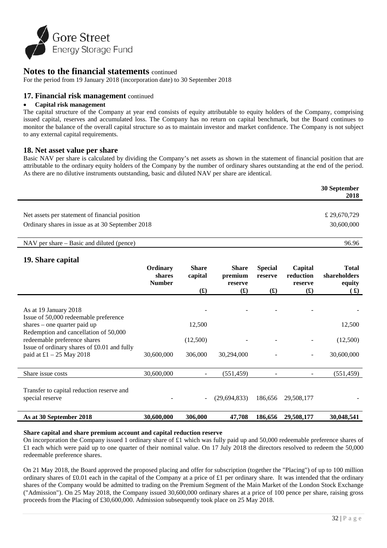

For the period from 19 January 2018 (incorporation date) to 30 September 2018

# **17. Financial risk management** continued

#### • **Capital risk management**

The capital structure of the Company at year end consists of equity attributable to equity holders of the Company, comprising issued capital, reserves and accumulated loss. The Company has no return on capital benchmark, but the Board continues to monitor the balance of the overall capital structure so as to maintain investor and market confidence. The Company is not subject to any external capital requirements.

# **18. Net asset value per share**

Basic NAV per share is calculated by dividing the Company's net assets as shown in the statement of financial position that are attributable to the ordinary equity holders of the Company by the number of ordinary shares outstanding at the end of the period. As there are no dilutive instruments outstanding, basic and diluted NAV per share are identical.

|                                                  | 30 September<br>2018 |
|--------------------------------------------------|----------------------|
| Net assets per statement of financial position   | £ 29,670,729         |
| Ordinary shares in issue as at 30 September 2018 | 30,600,000           |

NAV per share – Basic and diluted (pence) 96.96

# **19. Share capital**

| 17. ониге сирииг                                                         | Ordinary<br><b>shares</b><br><b>Number</b> | <b>Share</b><br>capital<br>$\left( \mathbf{f} \right)$ | <b>Share</b><br>premium<br>reserve<br>$\mathbf{f}(\mathbf{f})$ | <b>Special</b><br>reserve<br>$\mathbf{f}(\mathbf{f})$ | Capital<br>reduction<br>reserve<br>$\mathbf{f}(\mathbf{f})$ | <b>Total</b><br>shareholders<br>equity<br>$\left( \mathbf{\pmb{\pmb{\cdot}}} \right)$ |
|--------------------------------------------------------------------------|--------------------------------------------|--------------------------------------------------------|----------------------------------------------------------------|-------------------------------------------------------|-------------------------------------------------------------|---------------------------------------------------------------------------------------|
| As at 19 January 2018<br>Issue of 50,000 redeemable preference           |                                            |                                                        |                                                                |                                                       |                                                             |                                                                                       |
| shares – one quarter paid up<br>Redemption and cancellation of 50,000    |                                            | 12,500                                                 |                                                                |                                                       |                                                             | 12,500                                                                                |
| redeemable preference shares                                             |                                            | (12,500)                                               |                                                                |                                                       |                                                             | (12,500)                                                                              |
| Issue of ordinary shares of £0.01 and fully<br>paid at £1 $-25$ May 2018 | 30,600,000                                 | 306,000                                                | 30,294,000                                                     |                                                       |                                                             | 30,600,000                                                                            |
| Share issue costs                                                        | 30,600,000                                 | ۰                                                      | (551, 459)                                                     |                                                       |                                                             | (551, 459)                                                                            |
| Transfer to capital reduction reserve and<br>special reserve             |                                            | $\overline{a}$                                         | (29,694,833)                                                   | 186,656                                               | 29,508,177                                                  |                                                                                       |
| As at 30 September 2018                                                  | 30,600,000                                 | 306,000                                                | 47,708                                                         | 186,656                                               | 29,508,177                                                  | 30,048,541                                                                            |

#### **Share capital and share premium account and capital reduction reserve**

On incorporation the Company issued 1 ordinary share of £1 which was fully paid up and 50,000 redeemable preference shares of  $£1$  each which were paid up to one quarter of their nominal value. On 17 July 2018 the directors resolved to redeem the 50,000 redeemable preference shares.

On 21 May 2018, the Board approved the proposed placing and offer for subscription (together the "Placing") of up to 100 million ordinary shares of £0.01 each in the capital of the Company at a price of  $\pounds1$  per ordinary share. It was intended that the ordinary shares of the Company would be admitted to trading on the Premium Segment of the Main Market of the London Stock Exchange ("Admission"). On 25 May 2018, the Company issued 30,600,000 ordinary shares at a price of 100 pence per share, raising gross proceeds from the Placing of £30,600,000. Admission subsequently took place on 25 May 2018.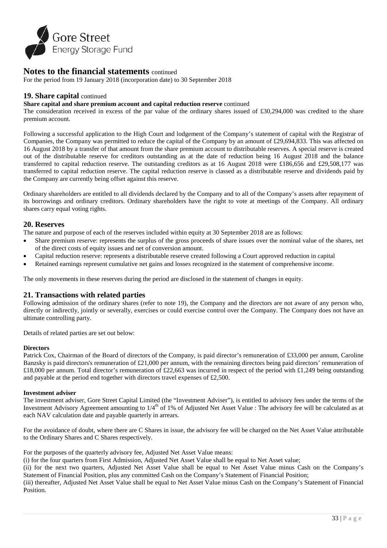

For the period from 19 January 2018 (incorporation date) to 30 September 2018

### **19. Share capital** continued

#### **Share capital and share premium account and capital reduction reserve** continued

The consideration received in excess of the par value of the ordinary shares issued of £30,294,000 was credited to the share premium account.

1 Following a successful application to the High Court and lodgement of the Company's statement of capital with the Registrar of Companies, the Company was permitted to reduce the capital of the Company by an amount of £29,694,833. This was affected on 16 August 2018 by a transfer of that amount from the share premium account to distributable reserves. A special reserve is created out of the distributable reserve for creditors outstanding as at the date of reduction being 16 August 2018 and the balance transferred to capital reduction reserve. The outstanding creditors as at 16 August 2018 were £186,656 and £29,508,177 was transferred to capital reduction reserve. The capital reduction reserve is classed as a distributable reserve and dividends paid by the Company are currently being offset against this reserve.

Ordinary shareholders are entitled to all dividends declared by the Company and to all of the Company's assets after repayment of its borrowings and ordinary creditors. Ordinary shareholders have the right to vote at meetings of the Company. All ordinary shares carry equal voting rights.

#### **20. Reserves**

The nature and purpose of each of the reserves included within equity at 30 September 2018 are as follows:

- Share premium reserve: represents the surplus of the gross proceeds of share issues over the nominal value of the shares, net of the direct costs of equity issues and net of conversion amount.
- Capital reduction reserve: represents a distributable reserve created following a Court approved reduction in capital
- Retained earnings represent cumulative net gains and losses recognized in the statement of comprehensive income.

The only movements in these reserves during the period are disclosed in the statement of changes in equity.

#### **21. Transactions with related parties**

Following admission of the ordinary shares (refer to note 19), the Company and the directors are not aware of any person who, directly or indirectly, jointly or severally, exercises or could exercise control over the Company. The Company does not have an ultimate controlling party.

Details of related parties are set out below:

#### **Directors**

Patrick Cox, Chairman of the Board of directors of the Company, is paid director's remuneration of £33,000 per annum, Caroline Banzsky is paid directors's remuneration of  $£21,000$  per annum, with the remaining directors being paid directors' remuneration of £18,000 per annum. Total director's remuneration of £22,663 was incurred in respect of the period with £1,249 being outstanding and payable at the period end together with directors travel expenses of £2,500.

#### **Investment adviser**

The investment adviser, Gore Street Capital Limited (the "Investment Adviser"), is entitled to advisory fees under the terms of the Investment Advisory Agreement amounting to  $1/4<sup>th</sup>$  of 1% of Adjusted Net Asset Value : The advisory fee will be calculated as at each NAV calculation date and payable quarterly in arrears.

For the avoidance of doubt, where there are C Shares in issue, the advisory fee will be charged on the Net Asset Value attributable to the Ordinary Shares and C Shares respectively.

For the purposes of the quarterly advisory fee, Adjusted Net Asset Value means:

(i) for the four quarters from First Admission, Adjusted Net Asset Value shall be equal to Net Asset value;

(ii) for the next two quarters, Adjusted Net Asset Value shall be equal to Net Asset Value minus Cash on the Company's Statement of Financial Position, plus any committed Cash on the Company's Statement of Financial Position;

(iii) thereafter, Adjusted Net Asset Value shall be equal to Net Asset Value minus Cash on the Company's Statement of Financial **Position**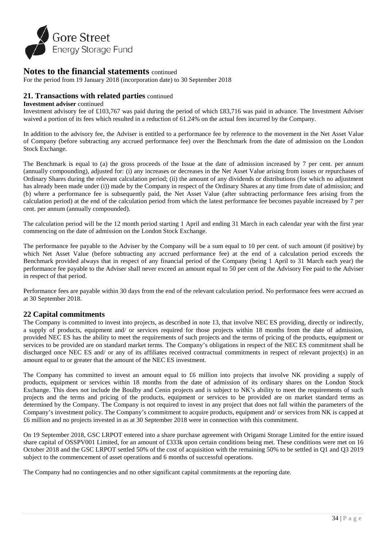

For the period from 19 January 2018 (incorporation date) to 30 September 2018

# **21. Transactions with related parties** continued

#### **Investment adviser** continued

Investment advisory fee of £103,767 was paid during the period of which £83,716 was paid in advance. The Investment Adviser waived a portion of its fees which resulted in a reduction of 61.24% on the actual fees incurred by the Company.

In addition to the advisory fee, the Adviser is entitled to a performance fee by reference to the movement in the Net Asset Value of Company (before subtracting any accrued performance fee) over the Benchmark from the date of admission on the London Stock Exchange.

The Benchmark is equal to (a) the gross proceeds of the Issue at the date of admission increased by 7 per cent. per annum (annually compounding), adjusted for: (i) any increases or decreases in the Net Asset Value arising from issues or repurchases of Ordinary Shares during the relevant calculation period; (ii) the amount of any dividends or distributions (for which no adjustment has already been made under (i)) made by the Company in respect of the Ordinary Shares at any time from date of admission; and (b) where a performance fee is subsequently paid, the Net Asset Value (after subtracting performance fees arising from the calculation period) at the end of the calculation period from which the latest performance fee becomes payable increased by 7 per cent. per annum (annually compounded).

The calculation period will be the 12 month period starting 1 April and ending 31 March in each calendar year with the first year commencing on the date of admission on the London Stock Exchange.

The performance fee payable to the Adviser by the Company will be a sum equal to 10 per cent. of such amount (if positive) by which Net Asset Value (before subtracting any accrued performance fee) at the end of a calculation period exceeds the Benchmark provided always that in respect of any financial period of the Company (being 1 April to 31 March each year) the performance fee payable to the Adviser shall never exceed an amount equal to 50 per cent of the Advisory Fee paid to the Adviser in respect of that period.

Performance fees are payable within 30 days from the end of the relevant calculation period. No performance fees were accrued as at 30 September 2018.

# **22 Capital commitments**

The Company is committed to invest into projects, as described in note 13, that involve NEC ES providing, directly or indirectly, a supply of products, equipment and/ or services required for those projects within 18 months from the date of admission, provided NEC ES has the ability to meet the requirements of such projects and the terms of pricing of the products, equipment or services to be provided are on standard market terms. The Company's obligations in respect of the NEC ES commitment shall be discharged once NEC ES and/ or any of its affiliates received contractual commitments in respect of relevant project(s) in an amount equal to or greater that the amount of the NEC ES investment.

The Company has committed to invest an amount equal to £6 million into projects that involve NK providing a supply of products, equipment or services within 18 months from the date of admission of its ordinary shares on the London Stock Exchange. This does not include the Boulby and Cenin projects and is subject to NK's ability to meet the requirements of such projects and the terms and pricing of the products, equipment or services to be provided are on market standard terms as determined by the Company. The Company is not required to invest in any project that does not fall within the parameters of the Company's investment policy. The Company's commitment to acquire products, equipment and/ or services from NK is capped at £6 million and no projects invested in as at 30 September 2018 were in connection with this commitment.

On 19 September 2018, GSC LRPOT entered into a share purchase agreement with Origami Storage Limited for the entire issued share capital of OSSPV001 Limited, for an amount of £333k upon certain conditions being met. These conditions were met on 16 October 2018 and the GSC LRPOT settled 50% of the cost of acquisition with the remaining 50% to be settled in Q1 and Q3 2019 subject to the commencement of asset operations and 6 months of successful operations.

The Company had no contingencies and no other significant capital commitments at the reporting date.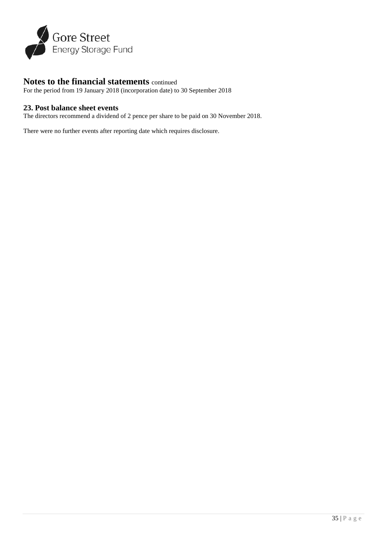

For the period from 19 January 2018 (incorporation date) to 30 September 2018

# **23. Post balance sheet events**

The directors recommend a dividend of 2 pence per share to be paid on 30 November 2018.

There were no further events after reporting date which requires disclosure.